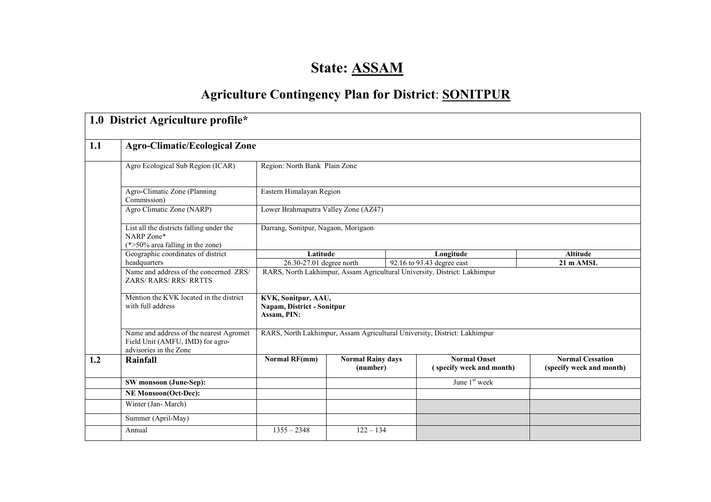# State: ASSAM

## **Agriculture Contingency Plan for District: SONITPUR**

|     | 1.0 District Agriculture profile*                                                                     |                                                                                                                                                  |                                      |  |                                                                           |                                                     |  |  |
|-----|-------------------------------------------------------------------------------------------------------|--------------------------------------------------------------------------------------------------------------------------------------------------|--------------------------------------|--|---------------------------------------------------------------------------|-----------------------------------------------------|--|--|
| 1.1 | <b>Agro-Climatic/Ecological Zone</b>                                                                  |                                                                                                                                                  |                                      |  |                                                                           |                                                     |  |  |
|     | Agro Ecological Sub Region (ICAR)                                                                     | Region: North Bank Plain Zone                                                                                                                    |                                      |  |                                                                           |                                                     |  |  |
|     | Agro-Climatic Zone (Planning<br>Commission)                                                           | Eastern Himalayan Region                                                                                                                         |                                      |  |                                                                           |                                                     |  |  |
|     | Agro Climatic Zone (NARP)                                                                             | Lower Brahmaputra Valley Zone (AZ47)                                                                                                             |                                      |  |                                                                           |                                                     |  |  |
|     | List all the districts falling under the<br>NARP Zone*<br>$(*>50\%$ area falling in the zone)         | Darrang, Sonitpur, Nagaon, Morigaon                                                                                                              |                                      |  |                                                                           |                                                     |  |  |
|     | Geographic coordinates of district                                                                    | Latitude                                                                                                                                         |                                      |  | Longitude                                                                 | <b>Altitude</b>                                     |  |  |
|     | headquarters                                                                                          | 26.30-27.01 degree north<br>92.16 to 93.43 degree east<br>21 m AMSL<br>RARS, North Lakhimpur, Assam Agricultural University, District: Lakhimpur |                                      |  |                                                                           |                                                     |  |  |
|     | Name and address of the concerned ZRS/<br><b>ZARS/RARS/RRS/RRTTS</b>                                  |                                                                                                                                                  |                                      |  |                                                                           |                                                     |  |  |
|     | Mention the KVK located in the district<br>with full address                                          | KVK, Sonitpur, AAU,<br>Napam, District - Sonitpur<br>Assam, PIN:                                                                                 |                                      |  |                                                                           |                                                     |  |  |
|     | Name and address of the nearest Agromet<br>Field Unit (AMFU, IMD) for agro-<br>advisories in the Zone |                                                                                                                                                  |                                      |  | RARS, North Lakhimpur, Assam Agricultural University, District: Lakhimpur |                                                     |  |  |
| 1.2 | Rainfall                                                                                              | <b>Normal RF(mm)</b>                                                                                                                             | <b>Normal Rainy days</b><br>(number) |  | <b>Normal Onset</b><br>(specify week and month)                           | <b>Normal Cessation</b><br>(specify week and month) |  |  |
|     | SW monsoon (June-Sep):                                                                                |                                                                                                                                                  |                                      |  | June 1 <sup>st</sup> week                                                 |                                                     |  |  |
|     | <b>NE Monsoon(Oct-Dec):</b>                                                                           |                                                                                                                                                  |                                      |  |                                                                           |                                                     |  |  |
|     | Winter (Jan-March)                                                                                    |                                                                                                                                                  |                                      |  |                                                                           |                                                     |  |  |
|     | Summer (April-May)                                                                                    |                                                                                                                                                  |                                      |  |                                                                           |                                                     |  |  |
|     | Annual                                                                                                | $1355 - 2348$                                                                                                                                    | $122 - 134$                          |  |                                                                           |                                                     |  |  |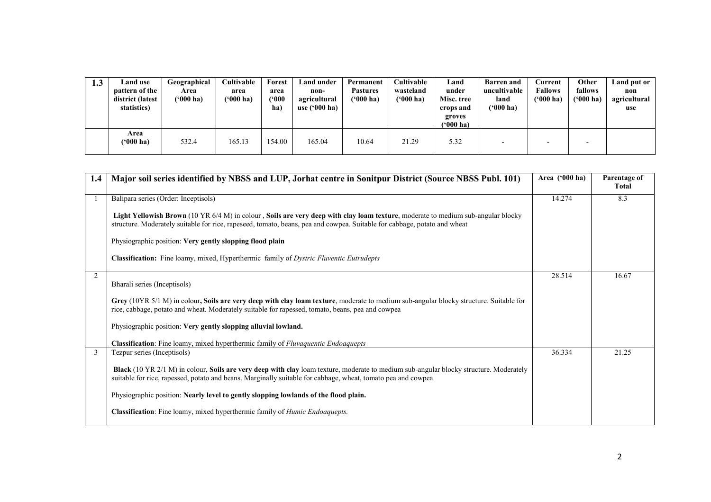| 1.3 | <b>Land</b> use<br>pattern of the<br>district (latest<br>statistics) | Geographical<br>Area<br>$(900)$ ha) | <b>Cultivable</b><br>area<br>('000 ha) | Forest<br>area<br>$^{\circ}000$<br>ha) | Land under<br>non-<br>agricultural<br>use $('000 ha)$ | Permanent<br><b>Pastures</b><br>$(900)$ ha) | Cultivable<br>wasteland<br>$(900)$ ha) | Land<br>under<br>Misc. tree<br>crops and<br>groves<br>''000 ha) | <b>Barren</b> and<br>uncultivable<br>land<br>$(900)$ ha) | Current<br><b>Fallows</b><br>$(900)$ ha) | Other<br>fallows<br>$(900)$ ha) | Land put or<br>non<br>agricultural<br>use |
|-----|----------------------------------------------------------------------|-------------------------------------|----------------------------------------|----------------------------------------|-------------------------------------------------------|---------------------------------------------|----------------------------------------|-----------------------------------------------------------------|----------------------------------------------------------|------------------------------------------|---------------------------------|-------------------------------------------|
|     | Area<br>('000 ha)                                                    | 532.4                               | 165.13                                 | 154.00                                 | 165.04                                                | 10.64                                       | 21.29                                  | 5.32                                                            |                                                          |                                          |                                 |                                           |

| 1.4 | Major soil series identified by NBSS and LUP, Jorhat centre in Sonitpur District (Source NBSS Publ. 101)                                                                                                                                                     | Area ('000 ha) | Parentage of<br>Total |
|-----|--------------------------------------------------------------------------------------------------------------------------------------------------------------------------------------------------------------------------------------------------------------|----------------|-----------------------|
|     | Balipara series (Order: Inceptisols)                                                                                                                                                                                                                         | 14.274         | 8.3                   |
|     | Light Yellowish Brown (10 YR 6/4 M) in colour, Soils are very deep with clay loam texture, moderate to medium sub-angular blocky<br>structure. Moderately suitable for rice, rapeseed, tomato, beans, pea and cowpea. Suitable for cabbage, potato and wheat |                |                       |
|     | Physiographic position: Very gently slopping flood plain                                                                                                                                                                                                     |                |                       |
|     | <b>Classification:</b> Fine loamy, mixed, Hyperthermic family of <i>Dystric Fluventic Eutrudepts</i>                                                                                                                                                         |                |                       |
| 2   | Bharali series (Inceptisols)                                                                                                                                                                                                                                 | 28.514         | 16.67                 |
|     | Grey (10YR 5/1 M) in colour, Soils are very deep with clay loam texture, moderate to medium sub-angular blocky structure. Suitable for<br>rice, cabbage, potato and wheat. Moderately suitable for rapessed, tomato, beans, pea and cowpea                   |                |                       |
|     | Physiographic position: Very gently slopping alluvial lowland.                                                                                                                                                                                               |                |                       |
|     | Classification: Fine loamy, mixed hyperthermic family of Fluvaquentic Endoaquepts                                                                                                                                                                            |                |                       |
| 3   | Tezpur series (Inceptisols)                                                                                                                                                                                                                                  | 36.334         | 21.25                 |
|     | Black (10 YR 2/1 M) in colour, Soils are very deep with clay loam texture, moderate to medium sub-angular blocky structure. Moderately<br>suitable for rice, rapessed, potato and beans. Marginally suitable for cabbage, wheat, tomato pea and cowpea       |                |                       |
|     | Physiographic position: Nearly level to gently slopping lowlands of the flood plain.                                                                                                                                                                         |                |                       |
|     | Classification: Fine loamy, mixed hyperthermic family of <i>Humic Endoaquepts</i> .                                                                                                                                                                          |                |                       |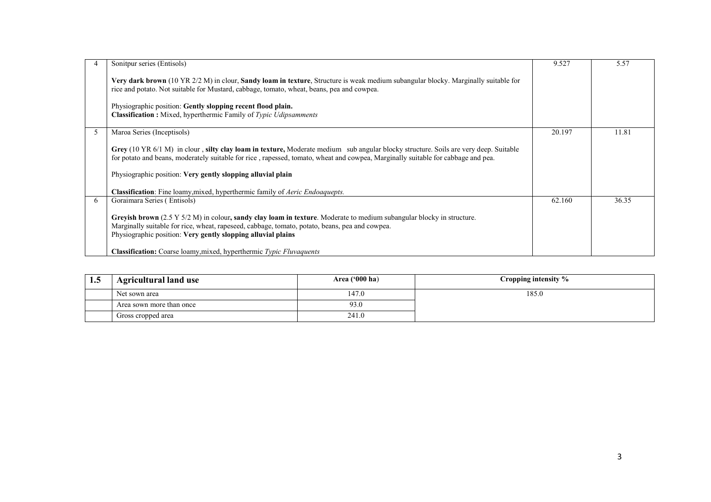|          | Sonitpur series (Entisols)                                                                                                                                                                                                                                                                | 9.527  | 5.57  |
|----------|-------------------------------------------------------------------------------------------------------------------------------------------------------------------------------------------------------------------------------------------------------------------------------------------|--------|-------|
|          | Very dark brown (10 YR 2/2 M) in clour, Sandy loam in texture, Structure is weak medium subangular blocky. Marginally suitable for<br>rice and potato. Not suitable for Mustard, cabbage, tomato, wheat, beans, pea and cowpea.                                                           |        |       |
|          | Physiographic position: Gently slopping recent flood plain.<br><b>Classification :</b> Mixed, hyperthermic Family of <i>Typic Udipsamments</i>                                                                                                                                            |        |       |
|          | Maroa Series (Inceptisols)                                                                                                                                                                                                                                                                | 20.197 | 11.81 |
|          | Grey (10 YR 6/1 M) in clour, silty clay loam in texture, Moderate medium sub angular blocky structure. Soils are very deep. Suitable<br>for potato and beans, moderately suitable for rice, rapessed, tomato, wheat and cowpea, Marginally suitable for cabbage and pea.                  |        |       |
|          | Physiographic position: Very gently slopping alluvial plain                                                                                                                                                                                                                               |        |       |
|          | Classification: Fine loamy, mixed, hyperthermic family of Aeric Endoaquepts.                                                                                                                                                                                                              |        |       |
| $\sigma$ | Goraimara Series (Entisols)                                                                                                                                                                                                                                                               | 62.160 | 36.35 |
|          | Grevish brown $(2.5 Y 5/2 M)$ in colour, sandy clay loam in texture. Moderate to medium subangular blocky in structure.<br>Marginally suitable for rice, wheat, rapeseed, cabbage, tomato, potato, beans, pea and cowpea.<br>Physiographic position: Very gently slopping alluvial plains |        |       |
|          | <b>Classification:</b> Coarse loamy, mixed, hyperthermic <i>Typic Fluvaquents</i>                                                                                                                                                                                                         |        |       |

| 1.5 | Agricultural land use    | Area $(900 \text{ ha})$ | Cropping intensity % |
|-----|--------------------------|-------------------------|----------------------|
|     | Net sown area            | 147.0                   | 185.0                |
|     | Area sown more than once | 93.0                    |                      |
|     | Gross cropped area       | 241.0                   |                      |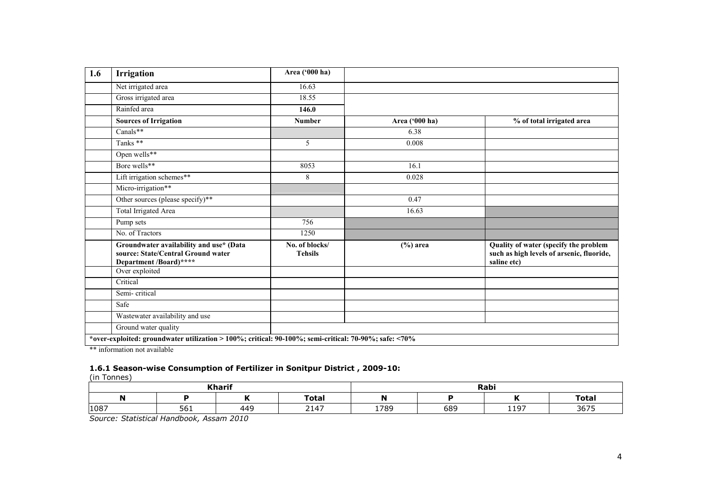| 1.6 | <b>Irrigation</b>                                                                                       | Area ('000 ha)                   |                |                                                                                                   |
|-----|---------------------------------------------------------------------------------------------------------|----------------------------------|----------------|---------------------------------------------------------------------------------------------------|
|     | Net irrigated area                                                                                      | 16.63                            |                |                                                                                                   |
|     | Gross irrigated area                                                                                    | 18.55                            |                |                                                                                                   |
|     | Rainfed area                                                                                            | 146.0                            |                |                                                                                                   |
|     | <b>Sources of Irrigation</b>                                                                            | <b>Number</b>                    | Area ('000 ha) | % of total irrigated area                                                                         |
|     | Canals**                                                                                                |                                  | 6.38           |                                                                                                   |
|     | Tanks **                                                                                                | 5                                | 0.008          |                                                                                                   |
|     | Open wells**                                                                                            |                                  |                |                                                                                                   |
|     | Bore wells**                                                                                            | 8053                             | 16.1           |                                                                                                   |
|     | Lift irrigation schemes**                                                                               | 8                                | 0.028          |                                                                                                   |
|     | Micro-irrigation**                                                                                      |                                  |                |                                                                                                   |
|     | Other sources (please specify)**                                                                        |                                  | 0.47           |                                                                                                   |
|     | Total Irrigated Area                                                                                    |                                  | 16.63          |                                                                                                   |
|     | Pump sets                                                                                               | 756                              |                |                                                                                                   |
|     | No. of Tractors                                                                                         | 1250                             |                |                                                                                                   |
|     | Groundwater availability and use* (Data<br>source: State/Central Ground water<br>Department /Board)**** | No. of blocks/<br><b>Tehsils</b> | $(\%)$ area    | Quality of water (specify the problem<br>such as high levels of arsenic, fluoride,<br>saline etc) |
|     | Over exploited                                                                                          |                                  |                |                                                                                                   |
|     | Critical                                                                                                |                                  |                |                                                                                                   |
|     | Semi-critical                                                                                           |                                  |                |                                                                                                   |
|     | Safe                                                                                                    |                                  |                |                                                                                                   |
|     | Wastewater availability and use                                                                         |                                  |                |                                                                                                   |
|     | Ground water quality                                                                                    |                                  |                |                                                                                                   |

\*\* information not available

# 1.6.1 Season-wise Consumption of Fertilizer in Sonitpur District , 2009-10: (in Tonnes)

|      |     | <b>Kharif</b> |              | Rabi         |     |      |      |  |
|------|-----|---------------|--------------|--------------|-----|------|------|--|
| N    |     |               | <b>Total</b> | <b>Total</b> |     |      |      |  |
| 1087 | 561 | 449           | 2147         | 1789         | 689 | 1197 | 3675 |  |

Source: Statistical Handbook, Assam 2010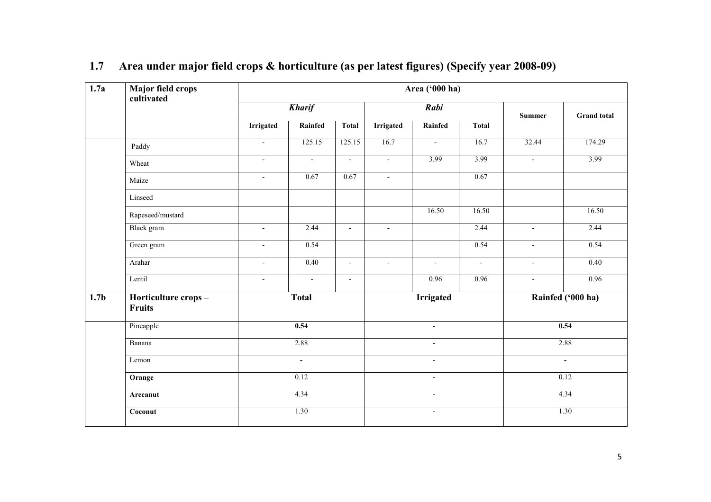| 1.7a             | Major field crops<br>cultivated | Area ('000 ha)           |                   |                          |                          |                          |                          |                          |                    |  |  |  |
|------------------|---------------------------------|--------------------------|-------------------|--------------------------|--------------------------|--------------------------|--------------------------|--------------------------|--------------------|--|--|--|
|                  |                                 |                          | <b>Kharif</b>     |                          |                          | Rabi                     |                          | <b>Summer</b>            | <b>Grand</b> total |  |  |  |
|                  |                                 | <b>Irrigated</b>         | Rainfed           | Total                    | <b>Irrigated</b>         | Rainfed                  | <b>Total</b>             |                          |                    |  |  |  |
|                  | Paddy                           | $\overline{\phantom{a}}$ | 125.15            | 125.15                   | 16.7                     | $\overline{\phantom{a}}$ | 16.7                     | 32.44                    | 174.29             |  |  |  |
|                  | Wheat                           | $\blacksquare$           | $\overline{a}$    | $\blacksquare$           | $\blacksquare$           | 3.99                     | 3.99                     | $\blacksquare$           | 3.99               |  |  |  |
|                  | Maize                           | $\blacksquare$           | 0.67              | 0.67                     | $\mathcal{L}^{\pm}$      |                          | 0.67                     |                          |                    |  |  |  |
|                  | Linseed                         |                          |                   |                          |                          |                          |                          |                          |                    |  |  |  |
|                  | Rapeseed/mustard                |                          |                   |                          |                          | 16.50                    | 16.50                    |                          | 16.50              |  |  |  |
|                  | Black gram                      | $\blacksquare$           | 2.44              | $\overline{\phantom{a}}$ | $\overline{\phantom{a}}$ |                          | 2.44                     | $\overline{\phantom{a}}$ | 2.44               |  |  |  |
|                  | Green gram                      | $\blacksquare$           | 0.54              |                          |                          |                          | 0.54                     | $\mathbf{r}$             | 0.54               |  |  |  |
|                  | Arahar                          | $\overline{\phantom{a}}$ | $\overline{0.40}$ | $\overline{\phantom{a}}$ | $\blacksquare$           | $\blacksquare$           | $\overline{\phantom{a}}$ | $\overline{\phantom{a}}$ | $\overline{0.40}$  |  |  |  |
|                  | Lentil                          | $\blacksquare$           | $\overline{a}$    | $\blacksquare$           |                          | 0.96                     | 0.96                     | $\blacksquare$           | 0.96               |  |  |  |
| 1.7 <sub>b</sub> | Horticulture crops-<br>Fruits   |                          | <b>Total</b>      |                          | <b>Irrigated</b>         |                          |                          |                          | Rainfed ('000 ha)  |  |  |  |
|                  | Pineapple                       |                          | 0.54              |                          |                          | $\overline{a}$           |                          |                          | 0.54               |  |  |  |
|                  | Banana                          |                          | 2.88              |                          |                          | $\sim$                   |                          |                          | 2.88               |  |  |  |
|                  | Lemon                           |                          | $\blacksquare$    |                          |                          | $\blacksquare$           |                          |                          | $\blacksquare$     |  |  |  |
|                  | Orange                          |                          | 0.12              |                          |                          | $\overline{\phantom{a}}$ |                          | 0.12                     |                    |  |  |  |
|                  | Arecanut                        | 4.34                     |                   |                          | $\overline{\phantom{a}}$ |                          |                          | 4.34                     |                    |  |  |  |
|                  | Coconut                         |                          | 1.30              |                          | $\blacksquare$           |                          |                          | 1.30                     |                    |  |  |  |

#### 1.7 Area under major field crops & horticulture (as per latest figures) (Specify year 2008-09)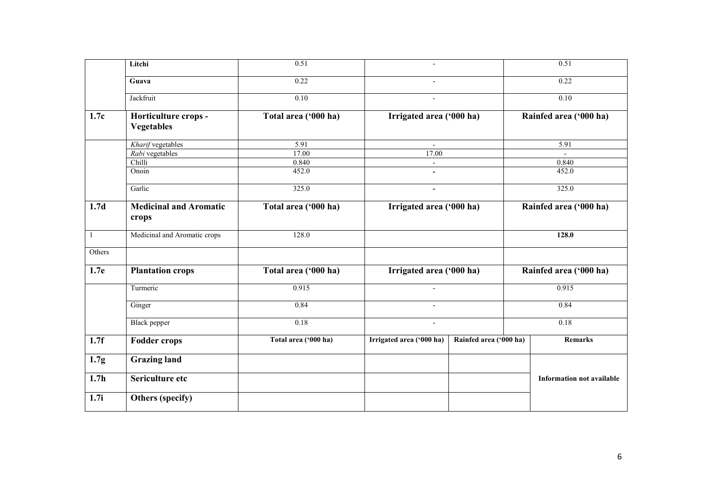|                  | Litchi                                    | 0.51                 | $\overline{a}$           |                        | 0.51                             |  |
|------------------|-------------------------------------------|----------------------|--------------------------|------------------------|----------------------------------|--|
|                  | Guava                                     | 0.22                 |                          |                        | 0.22                             |  |
|                  | Jackfruit                                 | 0.10                 | $\sim$                   |                        | 0.10                             |  |
| 1.7c             | Horticulture crops -<br><b>Vegetables</b> | Total area ('000 ha) | Irrigated area ('000 ha) |                        | Rainfed area ('000 ha)           |  |
|                  | Kharif vegetables                         | 5.91                 | $\overline{\phantom{a}}$ |                        | 5.91                             |  |
|                  | Rabi vegetables                           | 17.00                | 17.00                    |                        |                                  |  |
|                  | Chilli                                    | 0.840                | $\mathbf{r}$             |                        | 0.840                            |  |
|                  | Onoin                                     | 452.0                | $\blacksquare$           |                        | 452.0                            |  |
|                  | Garlic                                    | 325.0                | $\blacksquare$           |                        | 325.0                            |  |
| 1.7d             | <b>Medicinal and Aromatic</b><br>crops    | Total area ('000 ha) | Irrigated area ('000 ha) |                        | Rainfed area ('000 ha)           |  |
| $\mathbf{1}$     | Medicinal and Aromatic crops              | 128.0                |                          |                        | 128.0                            |  |
| Others           |                                           |                      |                          |                        |                                  |  |
| 1.7e             | <b>Plantation crops</b>                   | Total area ('000 ha) | Irrigated area ('000 ha) |                        | Rainfed area ('000 ha)           |  |
|                  | Turmeric                                  | 0.915                |                          |                        | 0.915                            |  |
|                  | Ginger                                    | 0.84                 | $\blacksquare$           |                        | 0.84                             |  |
|                  | <b>Black</b> pepper                       | 0.18                 | $\blacksquare$           |                        | 0.18                             |  |
| 1.7f             | <b>Fodder crops</b>                       | Total area ('000 ha) | Irrigated area ('000 ha) | Rainfed area ('000 ha) | <b>Remarks</b>                   |  |
| 1.7 <sub>g</sub> | <b>Grazing land</b>                       |                      |                          |                        |                                  |  |
| 1.7 <sub>h</sub> | Sericulture etc                           |                      |                          |                        | <b>Information not available</b> |  |
| 1.7i             | Others (specify)                          |                      |                          |                        |                                  |  |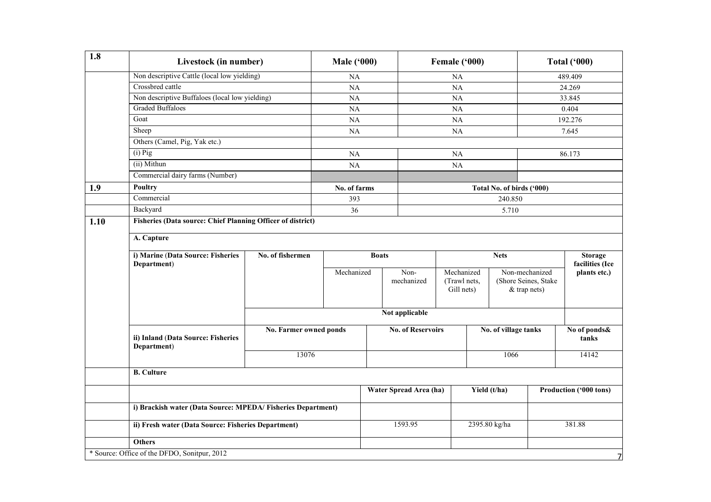| 1.8                                                                 | Livestock (in number)                                       |                        | <b>Male ('000)</b> |         |                          | Female ('000) |                                                    |                            |                | <b>Total ('000)</b>    |
|---------------------------------------------------------------------|-------------------------------------------------------------|------------------------|--------------------|---------|--------------------------|---------------|----------------------------------------------------|----------------------------|----------------|------------------------|
|                                                                     | Non descriptive Cattle (local low yielding)                 |                        | NA                 |         |                          | NA            |                                                    |                            |                | 489.409                |
|                                                                     | Crossbred cattle                                            |                        | NA                 |         |                          | <b>NA</b>     |                                                    |                            |                | 24.269                 |
|                                                                     | Non descriptive Buffaloes (local low yielding)              |                        | NA                 |         |                          | NA            |                                                    |                            |                | 33.845                 |
|                                                                     | <b>Graded Buffaloes</b>                                     |                        | NA                 |         |                          | <b>NA</b>     |                                                    |                            |                | 0.404                  |
|                                                                     | Goat                                                        |                        | NA                 |         |                          | NA            |                                                    |                            |                | 192.276                |
|                                                                     | Sheep                                                       |                        | NA                 |         |                          | <b>NA</b>     |                                                    |                            |                | 7.645                  |
|                                                                     | Others (Camel, Pig, Yak etc.)                               |                        |                    |         |                          |               |                                                    |                            |                |                        |
|                                                                     | $(i)$ Pig                                                   |                        | NA                 |         |                          | NA            |                                                    |                            | 86.173         |                        |
|                                                                     | (ii) Mithun                                                 |                        | NA                 |         |                          | NA            |                                                    |                            |                |                        |
|                                                                     | Commercial dairy farms (Number)                             |                        |                    |         |                          |               |                                                    |                            |                |                        |
| 1.9                                                                 | <b>Poultry</b>                                              |                        | No. of farms       |         |                          |               |                                                    | Total No. of birds ('000)  |                |                        |
|                                                                     | Commercial                                                  |                        | 393                |         |                          |               |                                                    | 240.850                    |                |                        |
|                                                                     | Backyard                                                    |                        | 36                 |         |                          |               |                                                    | 5.710                      |                |                        |
| Fisheries (Data source: Chief Planning Officer of district)<br>1.10 |                                                             |                        |                    |         |                          |               |                                                    |                            |                |                        |
| A. Capture                                                          |                                                             |                        |                    |         |                          |               |                                                    |                            |                |                        |
|                                                                     | i) Marine (Data Source: Fisheries                           | No. of fishermen       |                    |         |                          |               |                                                    | <b>Nets</b>                |                | <b>Storage</b>         |
|                                                                     | Department)                                                 |                        |                    |         |                          |               |                                                    |                            |                | facilities (Ice        |
|                                                                     |                                                             |                        | Mechanized         |         | Non-<br>mechanized       |               | Mechanized<br>(Shore Seines, Stake<br>(Trawl nets, |                            | Non-mechanized | plants etc.)           |
|                                                                     |                                                             |                        |                    |         |                          |               |                                                    | Gill nets)<br>& trap nets) |                |                        |
|                                                                     |                                                             |                        |                    |         |                          |               |                                                    |                            |                |                        |
|                                                                     |                                                             |                        |                    |         | Not applicable           |               |                                                    |                            |                |                        |
|                                                                     |                                                             |                        |                    |         |                          |               |                                                    |                            |                |                        |
|                                                                     |                                                             | No. Farmer owned ponds |                    |         | <b>No. of Reservoirs</b> |               |                                                    | No. of village tanks       |                | No of ponds&           |
|                                                                     | ii) Inland (Data Source: Fisheries<br>Department)           |                        |                    |         |                          |               |                                                    |                            |                | tanks                  |
|                                                                     |                                                             | 13076                  |                    |         |                          |               |                                                    | 1066                       |                | 14142                  |
|                                                                     |                                                             |                        |                    |         |                          |               |                                                    |                            |                |                        |
|                                                                     | <b>B.</b> Culture                                           |                        |                    |         |                          |               |                                                    |                            |                |                        |
|                                                                     |                                                             |                        |                    |         | Water Spread Area (ha)   |               |                                                    | Yield (t/ha)               |                | Production ('000 tons) |
|                                                                     |                                                             |                        |                    |         |                          |               |                                                    |                            |                |                        |
|                                                                     | i) Brackish water (Data Source: MPEDA/Fisheries Department) |                        |                    |         |                          |               |                                                    |                            |                |                        |
|                                                                     | ii) Fresh water (Data Source: Fisheries Department)         |                        |                    | 1593.95 |                          |               | 2395.80 kg/ha                                      |                            |                | 381.88                 |
|                                                                     | <b>Others</b>                                               |                        |                    |         |                          |               |                                                    |                            |                |                        |
|                                                                     | * Source: Office of the DFDO, Sonitpur, 2012                |                        |                    |         |                          |               |                                                    |                            |                | 7                      |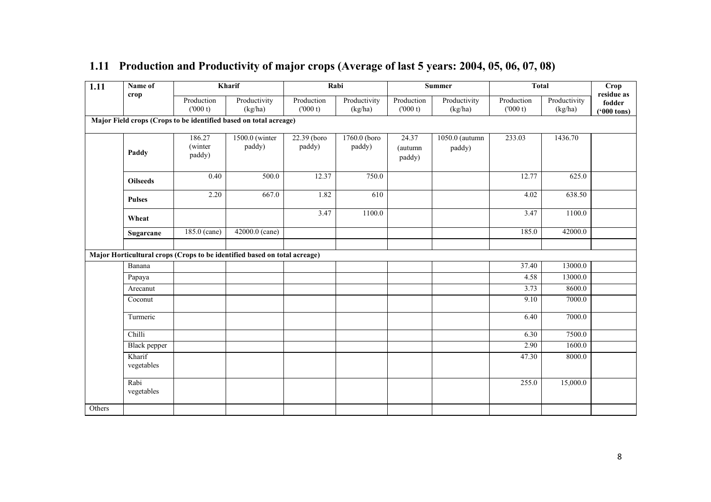| 1.11   | Name of              |                             | Kharif                                                                    |                       | Rabi                    |                            | <b>Summer</b>            | <b>Total</b>          |                         | <b>Crop</b>                                  |
|--------|----------------------|-----------------------------|---------------------------------------------------------------------------|-----------------------|-------------------------|----------------------------|--------------------------|-----------------------|-------------------------|----------------------------------------------|
|        | crop                 | Production<br>(000 t)       | Productivity<br>(kg/ha)                                                   | Production<br>(000 t) | Productivity<br>(kg/ha) | Production<br>(000 t)      | Productivity<br>(kg/ha)  | Production<br>(000 t) | Productivity<br>(kg/ha) | residue as<br>fodder<br>$(900 \text{ tons})$ |
|        |                      |                             | Major Field crops (Crops to be identified based on total acreage)         |                       |                         |                            |                          |                       |                         |                                              |
|        | Paddy                | 186.27<br>(winter<br>paddy) | 1500.0 (winter<br>paddy)                                                  | 22.39 (boro<br>paddy) | 1760.0 (boro<br>paddy)  | 24.37<br>(autumn<br>paddy) | 1050.0 (autumn<br>paddy) | 233.03                | 1436.70                 |                                              |
|        | <b>Oilseeds</b>      | 0.40                        | 500.0                                                                     | 12.37                 | 750.0                   |                            |                          | 12.77                 | 625.0                   |                                              |
|        | <b>Pulses</b>        | 2.20                        | 667.0                                                                     | 1.82                  | 610                     |                            |                          | 4.02                  | 638.50                  |                                              |
|        | Wheat                |                             |                                                                           | 3.47                  | 1100.0                  |                            |                          | 3.47                  | 1100.0                  |                                              |
|        | Sugarcane            | 185.0 (cane)                | 42000.0 (cane)                                                            |                       |                         |                            |                          | 185.0                 | 42000.0                 |                                              |
|        |                      |                             | Major Horticultural crops (Crops to be identified based on total acreage) |                       |                         |                            |                          |                       |                         |                                              |
|        | Banana               |                             |                                                                           |                       |                         |                            |                          | 37.40                 | 13000.0                 |                                              |
|        | Papaya               |                             |                                                                           |                       |                         |                            |                          | 4.58                  | 13000.0                 |                                              |
|        | Arecanut             |                             |                                                                           |                       |                         |                            |                          | 3.73                  | 8600.0                  |                                              |
|        | Coconut              |                             |                                                                           |                       |                         |                            |                          | 9.10                  | 7000.0                  |                                              |
|        | Turmeric             |                             |                                                                           |                       |                         |                            |                          | 6.40                  | $\overline{7000.0}$     |                                              |
|        | Chilli               |                             |                                                                           |                       |                         |                            |                          | 6.30                  | 7500.0                  |                                              |
|        | Black pepper         |                             |                                                                           |                       |                         |                            |                          | 2.90                  | 1600.0                  |                                              |
|        | Kharif<br>vegetables |                             |                                                                           |                       |                         |                            |                          | 47.30                 | 8000.0                  |                                              |
|        | Rabi<br>vegetables   |                             |                                                                           |                       |                         |                            |                          | 255.0                 | 15,000.0                |                                              |
| Others |                      |                             |                                                                           |                       |                         |                            |                          |                       |                         |                                              |

#### 1.11 Production and Productivity of major crops (Average of last 5 years: 2004, 05, 06, 07, 08)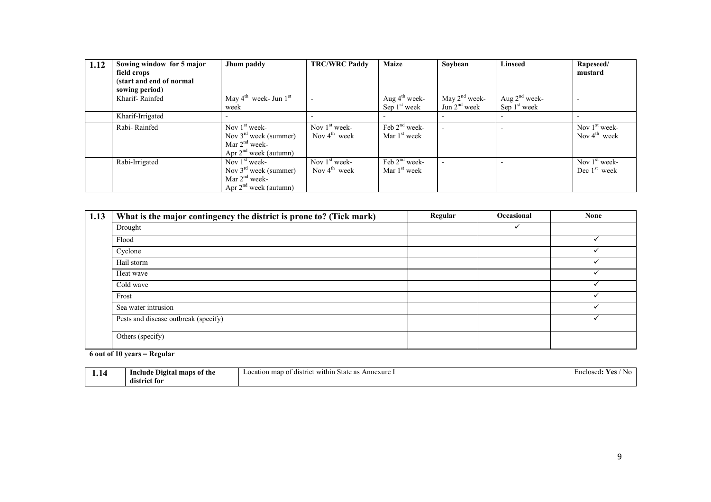| 1.12 | Sowing window for 5 major | Jhum paddy                                    | <b>TRC/WRC Paddy</b>     | <b>Maize</b>              | Soybean         | <b>Linseed</b>  | Rapeseed/                |
|------|---------------------------|-----------------------------------------------|--------------------------|---------------------------|-----------------|-----------------|--------------------------|
|      | field crops               |                                               |                          |                           |                 |                 | mustard                  |
|      | (start and end of normal  |                                               |                          |                           |                 |                 |                          |
|      | sowing period)            |                                               |                          |                           |                 |                 |                          |
|      | Kharif-Rainfed            | May $4^{\text{th}}$ week- Jun $1^{\text{st}}$ |                          | Aug $4^{\text{th}}$ week- | May $2nd$ week- | Aug $2nd$ week- |                          |
|      |                           | week                                          |                          | Sep $1st$ week            | Jun $2nd$ week  | Sep $1st$ week  |                          |
|      | Kharif-Irrigated          |                                               |                          |                           |                 |                 |                          |
|      | Rabi-Rainfed              | Nov $1st$ week-                               | Nov $1st$ week-          | Feb $2^{nd}$ week-        |                 |                 | Nov $1st$ week-          |
|      |                           | Nov $3rd$ week (summer)                       | Nov $4^{\text{th}}$ week | Mar 1 <sup>st</sup> week  |                 |                 | Nov $4^{\text{th}}$ week |
|      |                           | Mar $2nd$ week-                               |                          |                           |                 |                 |                          |
|      |                           | Apr $2^{nd}$ week (autumn)                    |                          |                           |                 |                 |                          |
|      | Rabi-Irrigated            | Nov $1st$ week-                               | Nov $1st$ week-          | Feb $2nd$ week-           |                 |                 | Nov $1st$ week-          |
|      |                           | Nov $3rd$ week (summer)                       | Nov $4^{\text{th}}$ week | Mar 1 <sup>st</sup> week  |                 |                 | Dec $1st$ week           |
|      |                           | Mar $2nd$ week-                               |                          |                           |                 |                 |                          |
|      |                           | Apr $2nd$ week (autumn)                       |                          |                           |                 |                 |                          |

| 1.13 | What is the major contingency the district is prone to? (Tick mark) | Regular | Occasional | <b>None</b> |
|------|---------------------------------------------------------------------|---------|------------|-------------|
|      | Drought                                                             |         |            |             |
|      | Flood                                                               |         |            |             |
|      | Cyclone                                                             |         |            |             |
|      | Hail storm                                                          |         |            |             |
|      | Heat wave                                                           |         |            |             |
|      | Cold wave                                                           |         |            |             |
|      | Frost                                                               |         |            |             |
|      | Sea water intrusion                                                 |         |            |             |
|      | Pests and disease outbreak (specify)                                |         |            |             |
|      | Others (specify)                                                    |         |            |             |

6 out of 10 years = Regular

| $\sim$ $\sim$ | , of the<br>-Digital<br>clude<br>I٦<br>maps<br>. . | $\sim$<br>≘xure<br>within<br>man<br><b>GISTTICL</b><br>-ation r<br>C.<br>. occ | :nclosed:<br>13 P<br>- - -<br>w |
|---------------|----------------------------------------------------|--------------------------------------------------------------------------------|---------------------------------|
|               | $\cdots$<br>dıstı<br>. for<br>rĸ                   |                                                                                |                                 |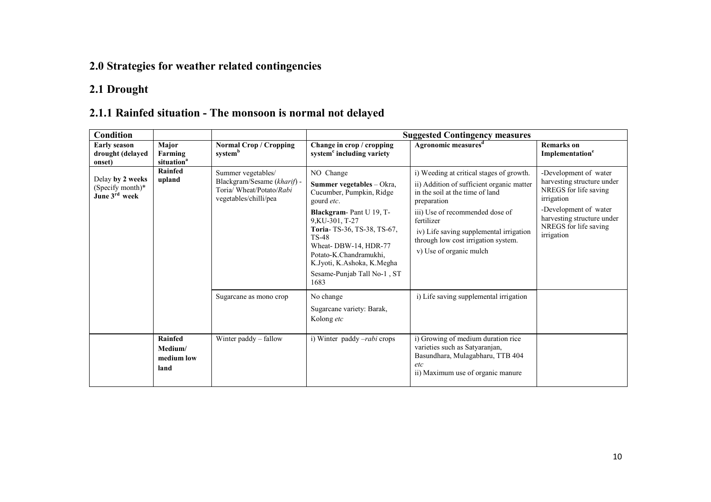### 2.0 Strategies for weather related contingencies

#### 2.1 Drought

#### 2.1.1 Rainfed situation - The monsoon is normal not delayed

| Condition                                                         |                                            | <b>Suggested Contingency measures</b>                                                                  |                                                                                                                                                                                                                                                                                                     |                                                                                                                                                                                                                                                                                                       |                                                                                                                                                                                          |  |
|-------------------------------------------------------------------|--------------------------------------------|--------------------------------------------------------------------------------------------------------|-----------------------------------------------------------------------------------------------------------------------------------------------------------------------------------------------------------------------------------------------------------------------------------------------------|-------------------------------------------------------------------------------------------------------------------------------------------------------------------------------------------------------------------------------------------------------------------------------------------------------|------------------------------------------------------------------------------------------------------------------------------------------------------------------------------------------|--|
| <b>Early season</b><br>drought (delayed<br>onset)                 | Major<br>Farming<br>situation <sup>a</sup> | <b>Normal Crop / Cropping</b><br>systemb                                                               | Change in crop / cropping<br>system <sup>c</sup> including variety                                                                                                                                                                                                                                  | Agronomic measures <sup>d</sup>                                                                                                                                                                                                                                                                       | <b>Remarks</b> on<br>Implementation <sup>e</sup>                                                                                                                                         |  |
| Delay by 2 weeks<br>(Specify month)*<br>June 3 <sup>rd</sup> week | Rainfed<br>upland                          | Summer vegetables/<br>Blackgram/Sesame (kharif) -<br>Toria/ Wheat/Potato/Rabi<br>vegetables/chilli/pea | NO Change<br>Summer vegetables - Okra,<br>Cucumber, Pumpkin, Ridge<br>gourd etc.<br>Blackgram-Pant U 19, T-<br>9, KU-301, T-27<br>Toria-TS-36, TS-38, TS-67,<br><b>TS-48</b><br>Wheat-DBW-14, HDR-77<br>Potato-K.Chandramukhi,<br>K.Jyoti, K.Ashoka, K.Megha<br>Sesame-Punjab Tall No-1, ST<br>1683 | i) Weeding at critical stages of growth.<br>ii) Addition of sufficient organic matter<br>in the soil at the time of land<br>preparation<br>iii) Use of recommended dose of<br>fertilizer<br>iv) Life saving supplemental irrigation<br>through low cost irrigation system.<br>v) Use of organic mulch | -Development of water<br>harvesting structure under<br>NREGS for life saving<br>irrigation<br>-Development of water<br>harvesting structure under<br>NREGS for life saving<br>irrigation |  |
|                                                                   |                                            | Sugarcane as mono crop                                                                                 | No change<br>Sugarcane variety: Barak,<br>Kolong etc                                                                                                                                                                                                                                                | i) Life saving supplemental irrigation                                                                                                                                                                                                                                                                |                                                                                                                                                                                          |  |
|                                                                   | Rainfed<br>Medium/<br>medium low<br>land   | Winter paddy – fallow                                                                                  | i) Winter paddy -rabi crops                                                                                                                                                                                                                                                                         | i) Growing of medium duration rice<br>varieties such as Satyaranjan,<br>Basundhara, Mulagabharu, TTB 404<br>etc<br>ii) Maximum use of organic manure                                                                                                                                                  |                                                                                                                                                                                          |  |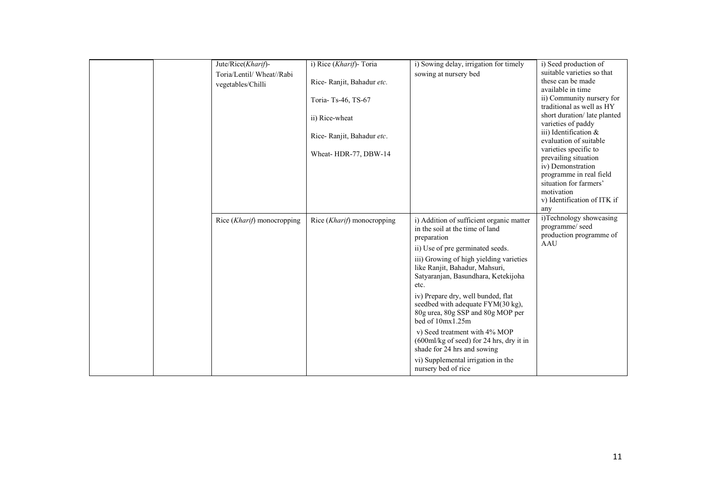| Jute/Rice(Kharif)-<br>Toria/Lentil/ Wheat//Rabi<br>vegetables/Chilli | i) Rice (Kharif)- Toria<br>Rice-Ranjit, Bahadur etc.<br>Toria-Ts-46, TS-67<br>ii) Rice-wheat<br>Rice-Ranjit, Bahadur etc.<br>Wheat-HDR-77, DBW-14 | i) Sowing delay, irrigation for timely<br>sowing at nursery bed                                                                                                                                                                                                                                                                                                                                                                                                                                                                                                                   | i) Seed production of<br>suitable varieties so that<br>these can be made<br>available in time<br>ii) Community nursery for<br>traditional as well as HY<br>short duration/late planted<br>varieties of paddy<br>iii) Identification $\&$<br>evaluation of suitable<br>varieties specific to<br>prevailing situation<br>iv) Demonstration<br>programme in real field<br>situation for farmers'<br>motivation<br>v) Identification of ITK if<br>any |
|----------------------------------------------------------------------|---------------------------------------------------------------------------------------------------------------------------------------------------|-----------------------------------------------------------------------------------------------------------------------------------------------------------------------------------------------------------------------------------------------------------------------------------------------------------------------------------------------------------------------------------------------------------------------------------------------------------------------------------------------------------------------------------------------------------------------------------|---------------------------------------------------------------------------------------------------------------------------------------------------------------------------------------------------------------------------------------------------------------------------------------------------------------------------------------------------------------------------------------------------------------------------------------------------|
| Rice ( <i>Kharif</i> ) monocropping                                  | Rice ( <i>Kharif</i> ) monocropping                                                                                                               | i) Addition of sufficient organic matter<br>in the soil at the time of land<br>preparation<br>ii) Use of pre germinated seeds.<br>iii) Growing of high yielding varieties<br>like Ranjit, Bahadur, Mahsuri,<br>Satyaranjan, Basundhara, Ketekijoha<br>etc.<br>iv) Prepare dry, well bunded, flat<br>seedbed with adequate FYM(30 kg),<br>80g urea, 80g SSP and 80g MOP per<br>bed of 10mx1.25m<br>v) Seed treatment with 4% MOP<br>$(600 \text{ml/kg of seed})$ for 24 hrs, dry it in<br>shade for 24 hrs and sowing<br>vi) Supplemental irrigation in the<br>nursery bed of rice | i)Technology showcasing<br>programme/ seed<br>production programme of<br>AAU                                                                                                                                                                                                                                                                                                                                                                      |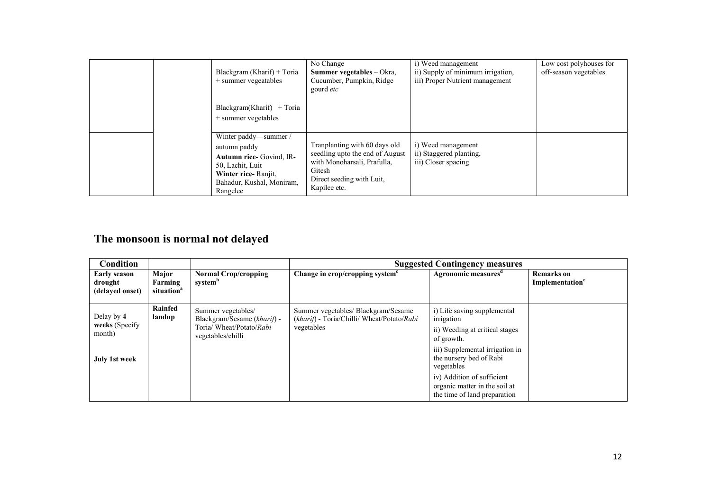|  | Blackgram (Kharif) + Toria<br>$+$ summer vegeatables<br>$Blackgram(Kharif) + Toria$<br>+ summer vegetables                                            | No Change<br><b>Summer vegetables</b> – Okra,<br>Cucumber, Pumpkin, Ridge<br>gourd etc                                                                 | i) Weed management<br>ii) Supply of minimum irrigation,<br>iii) Proper Nutrient management | Low cost polyhouses for<br>off-season vegetables |
|--|-------------------------------------------------------------------------------------------------------------------------------------------------------|--------------------------------------------------------------------------------------------------------------------------------------------------------|--------------------------------------------------------------------------------------------|--------------------------------------------------|
|  | Winter paddy—summer /<br>autumn paddy<br>Autumn rice- Govind, IR-<br>50, Lachit, Luit<br>Winter rice-Ranjit.<br>Bahadur, Kushal, Moniram,<br>Rangelee | Tranplanting with 60 days old<br>seedling upto the end of August<br>with Monoharsali, Prafulla,<br>Gitesh<br>Direct seeding with Luit.<br>Kapilee etc. | i) Weed management<br>ii) Staggered planting,<br>iii) Closer spacing                       |                                                  |

#### The monsoon is normal not delayed

| Condition                                                      |                                            |                                                                                                    | <b>Suggested Contingency measures</b>                                                           |                                                                                                                                                                       |                                                  |  |  |
|----------------------------------------------------------------|--------------------------------------------|----------------------------------------------------------------------------------------------------|-------------------------------------------------------------------------------------------------|-----------------------------------------------------------------------------------------------------------------------------------------------------------------------|--------------------------------------------------|--|--|
| Early season<br>drought<br>(delaved onset)                     | Major<br>Farming<br>situation <sup>a</sup> | <b>Normal Crop/cropping</b><br>system <sup>b</sup>                                                 | Change in crop/cropping system <sup>c</sup>                                                     | Agronomic measures <sup>d</sup>                                                                                                                                       | <b>Remarks</b> on<br>Implementation <sup>e</sup> |  |  |
| Delay by 4<br>weeks (Specify<br>month)<br><b>July 1st week</b> | Rainfed<br>landup                          | Summer vegetables/<br>Blackgram/Sesame (kharif) -<br>Toria/ Wheat/Potato/Rabi<br>vegetables/chilli | Summer vegetables/ Blackgram/Sesame<br>(kharif) - Toria/Chilli/ Wheat/Potato/Rabi<br>vegetables | i) Life saving supplemental<br>irrigation<br>ii) Weeding at critical stages<br>of growth.<br>iii) Supplemental irrigation in<br>the nursery bed of Rabi<br>vegetables |                                                  |  |  |
|                                                                |                                            |                                                                                                    |                                                                                                 | iv) Addition of sufficient<br>organic matter in the soil at<br>the time of land preparation                                                                           |                                                  |  |  |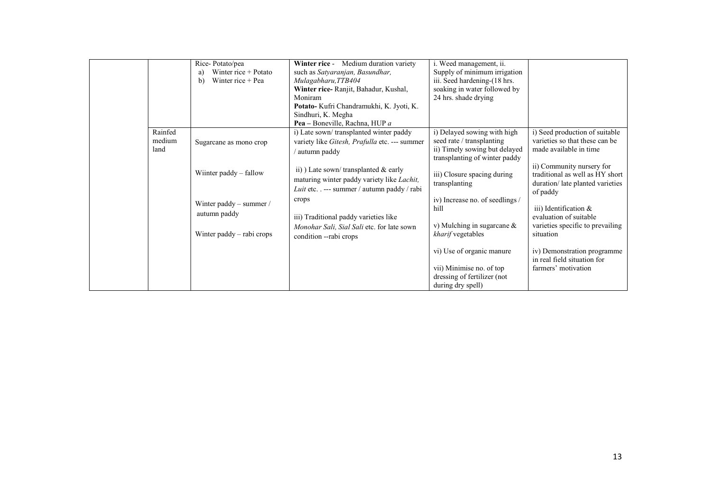|                           | Rice-Potato/pea<br>Winter rice + Potato<br>a)<br>Winter rice $+$ Pea<br>b) | Winter rice - Medium duration variety<br>such as Satyaranjan, Basundhar,<br>Mulagabharu, TTB404<br>Winter rice-Ranjit, Bahadur, Kushal,<br>Moniram<br>Potato- Kufri Chandramukhi, K. Jyoti, K.<br>Sindhuri, K. Megha<br>Pea – Boneville, Rachna, HUP a | i. Weed management, ii.<br>Supply of minimum irrigation<br>iii. Seed hardening-(18 hrs.<br>soaking in water followed by<br>24 hrs. shade drying |                                                                                                             |
|---------------------------|----------------------------------------------------------------------------|--------------------------------------------------------------------------------------------------------------------------------------------------------------------------------------------------------------------------------------------------------|-------------------------------------------------------------------------------------------------------------------------------------------------|-------------------------------------------------------------------------------------------------------------|
| Rainfed<br>medium<br>land | Sugarcane as mono crop                                                     | i) Late sown/transplanted winter paddy<br>variety like <i>Gitesh</i> , <i>Prafulla</i> etc. --- summer<br>' autumn paddy                                                                                                                               | i) Delayed sowing with high<br>seed rate / transplanting<br>ii) Timely sowing but delayed<br>transplanting of winter paddy                      | i) Seed production of suitable<br>varieties so that these can be<br>made available in time                  |
|                           | Wiinter paddy – fallow                                                     | ii) Late sown/transplanted $\&$ early<br>maturing winter paddy variety like <i>Lachit</i> ,<br><i>Luit</i> etc. $\ldots$ --- summer / autumn paddy / rabi                                                                                              | iii) Closure spacing during<br>transplanting                                                                                                    | ii) Community nursery for<br>traditional as well as HY short<br>duration/late planted varieties<br>of paddy |
|                           | Winter paddy – summer /<br>autumn paddy<br>Winter paddy – rabi crops       | crops<br>iii) Traditional paddy varieties like<br>Monohar Sali, Sial Sali etc. for late sown<br>condition -- rabi crops                                                                                                                                | iv) Increase no. of seedlings /<br>hill<br>v) Mulching in sugarcane $\&$<br>kharif vegetables                                                   | iii) Identification $\&$<br>evaluation of suitable<br>varieties specific to prevailing<br>situation         |
|                           |                                                                            |                                                                                                                                                                                                                                                        | vi) Use of organic manure<br>vii) Minimise no. of top<br>dressing of fertilizer (not<br>during dry spell)                                       | iv) Demonstration programme<br>in real field situation for<br>farmers' motivation                           |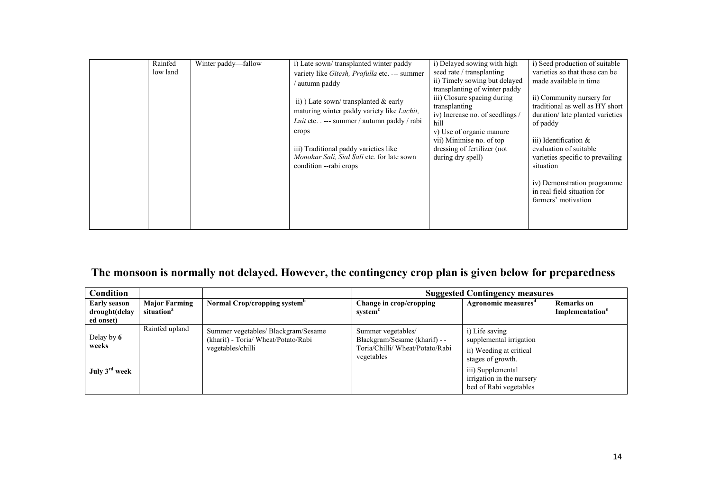|  | Rainfed<br>low land | Winter paddy—fallow | i) Late sown/transplanted winter paddy<br>variety like Gitesh, Prafulla etc. --- summer<br>' autumn paddy<br>ii) Late sown/transplanted $\&$ early<br>maturing winter paddy variety like Lachit,<br>Luit etc. . --- summer / autumn paddy / rabi<br>crops<br>iii) Traditional paddy varieties like<br>Monohar Sali, Sial Sali etc. for late sown<br>condition --rabi crops | i) Delayed sowing with high<br>seed rate / transplanting<br>ii) Timely sowing but delayed<br>transplanting of winter paddy<br>iii) Closure spacing during<br>transplanting<br>iv) Increase no. of seedlings /<br>hill<br>v) Use of organic manure<br>vii) Minimise no. of top<br>dressing of fertilizer (not<br>during dry spell) | i) Seed production of suitable<br>varieties so that these can be<br>made available in time<br>ii) Community nursery for<br>traditional as well as HY short<br>duration/late planted varieties<br>of paddy<br>iii) Identification $\&$<br>evaluation of suitable<br>varieties specific to prevailing<br>situation<br>iv) Demonstration programme<br>in real field situation for<br>farmers' motivation |
|--|---------------------|---------------------|----------------------------------------------------------------------------------------------------------------------------------------------------------------------------------------------------------------------------------------------------------------------------------------------------------------------------------------------------------------------------|-----------------------------------------------------------------------------------------------------------------------------------------------------------------------------------------------------------------------------------------------------------------------------------------------------------------------------------|-------------------------------------------------------------------------------------------------------------------------------------------------------------------------------------------------------------------------------------------------------------------------------------------------------------------------------------------------------------------------------------------------------|
|--|---------------------|---------------------|----------------------------------------------------------------------------------------------------------------------------------------------------------------------------------------------------------------------------------------------------------------------------------------------------------------------------------------------------------------------------|-----------------------------------------------------------------------------------------------------------------------------------------------------------------------------------------------------------------------------------------------------------------------------------------------------------------------------------|-------------------------------------------------------------------------------------------------------------------------------------------------------------------------------------------------------------------------------------------------------------------------------------------------------------------------------------------------------------------------------------------------------|

#### The monsoon is normally not delayed. However, the contingency crop plan is given below for preparedness

| <b>Condition</b>                                  |                                                |                                                                                                 | <b>Suggested Contingency measures</b>                                                                |                                                                                                                                                                       |                                                  |  |
|---------------------------------------------------|------------------------------------------------|-------------------------------------------------------------------------------------------------|------------------------------------------------------------------------------------------------------|-----------------------------------------------------------------------------------------------------------------------------------------------------------------------|--------------------------------------------------|--|
| <b>Early season</b><br>drought(delay<br>ed onset) | <b>Major Farming</b><br>situation <sup>a</sup> | Normal Crop/cropping system <sup>b</sup>                                                        | Change in crop/cropping<br>system                                                                    | Agronomic measures"                                                                                                                                                   | <b>Remarks</b> on<br>Implementation <sup>e</sup> |  |
| Delay by 6<br>weeks<br>July 3 <sup>rd</sup> week  | Rainfed upland                                 | Summer vegetables/ Blackgram/Sesame<br>(kharif) - Toria/ Wheat/Potato/Rabi<br>vegetables/chilli | Summer vegetables/<br>Blackgram/Sesame (kharif) - -<br>Toria/Chilli/ Wheat/Potato/Rabi<br>vegetables | i) Life saving<br>supplemental irrigation<br>ii) Weeding at critical<br>stages of growth.<br>iii) Supplemental<br>irrigation in the nursery<br>bed of Rabi vegetables |                                                  |  |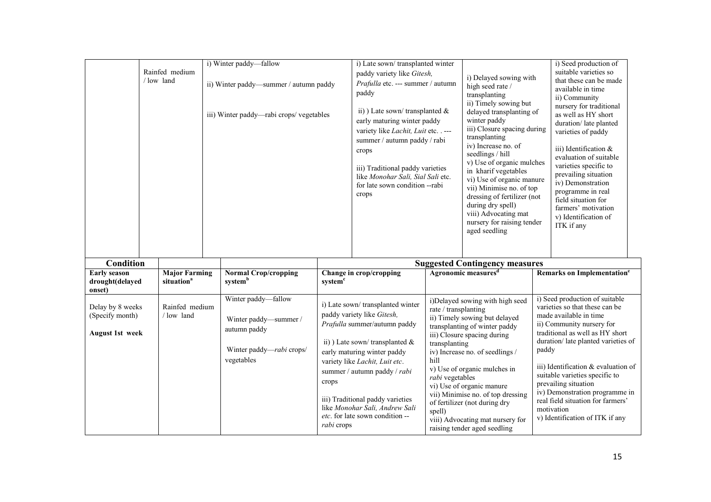|                                                  |                                                | i) Winter paddy—fallow                                                             |                     | i) Late sown/transplanted winter                                                                                                                                                                                                                                                                                                                  |                                                                                                                                                                                                                                                                                                                                                                                                                                                                      | i) Seed production of                                                                                                                                                                                                                                                                                                                                                                                                    |  |
|--------------------------------------------------|------------------------------------------------|------------------------------------------------------------------------------------|---------------------|---------------------------------------------------------------------------------------------------------------------------------------------------------------------------------------------------------------------------------------------------------------------------------------------------------------------------------------------------|----------------------------------------------------------------------------------------------------------------------------------------------------------------------------------------------------------------------------------------------------------------------------------------------------------------------------------------------------------------------------------------------------------------------------------------------------------------------|--------------------------------------------------------------------------------------------------------------------------------------------------------------------------------------------------------------------------------------------------------------------------------------------------------------------------------------------------------------------------------------------------------------------------|--|
|                                                  | Rainfed medium<br>/low land                    | ii) Winter paddy—summer / autumn paddy<br>iii) Winter paddy—rabi crops/ vegetables |                     | paddy variety like Gitesh,<br>Prafulla etc. --- summer / autumn<br>paddy<br>ii) ) Late sown/transplanted $\&$<br>early maturing winter paddy<br>variety like Lachit, Luit etc. . ---<br>summer / autumn paddy / rabi<br>crops<br>iii) Traditional paddy varieties<br>like Monohar Sali, Sial Sali etc.<br>for late sown condition --rabi<br>crops | i) Delayed sowing with<br>high seed rate /<br>transplanting<br>ii) Timely sowing but<br>delayed transplanting of<br>winter paddy<br>iii) Closure spacing during<br>transplanting<br>iv) Increase no. of<br>seedlings / hill<br>v) Use of organic mulches<br>in kharif vegetables<br>vi) Use of organic manure<br>vii) Minimise no. of top<br>dressing of fertilizer (not<br>during dry spell)<br>viii) Advocating mat<br>nursery for raising tender<br>aged seedling | suitable varieties so<br>that these can be made<br>available in time<br>ii) Community<br>nursery for traditional<br>as well as HY short<br>duration/late planted<br>varieties of paddy<br>iii) Identification &<br>evaluation of suitable<br>varieties specific to<br>prevailing situation<br>iv) Demonstration<br>programme in real<br>field situation for<br>farmers' motivation<br>v) Identification of<br>ITK if any |  |
| <b>Condition</b>                                 |                                                |                                                                                    |                     |                                                                                                                                                                                                                                                                                                                                                   | <b>Suggested Contingency measures</b>                                                                                                                                                                                                                                                                                                                                                                                                                                |                                                                                                                                                                                                                                                                                                                                                                                                                          |  |
| <b>Early season</b><br>drought(delayed<br>onset) | <b>Major Farming</b><br>situation <sup>a</sup> | <b>Normal Crop/cropping</b><br>system <sup>b</sup>                                 | system <sup>c</sup> | Change in crop/cropping                                                                                                                                                                                                                                                                                                                           | Agronomic measures <sup>d</sup>                                                                                                                                                                                                                                                                                                                                                                                                                                      | Remarks on Implementation <sup>e</sup>                                                                                                                                                                                                                                                                                                                                                                                   |  |
| Delay by 8 weeks                                 |                                                |                                                                                    |                     |                                                                                                                                                                                                                                                                                                                                                   |                                                                                                                                                                                                                                                                                                                                                                                                                                                                      |                                                                                                                                                                                                                                                                                                                                                                                                                          |  |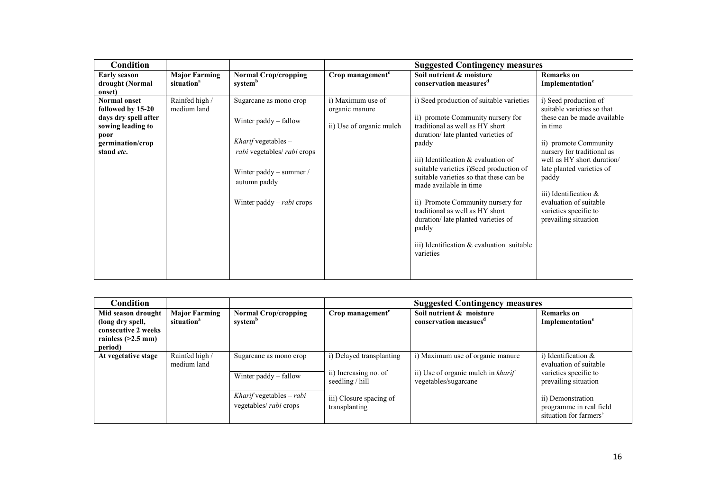| Condition                                                                                                                       |                                                |                                                                                                                                                                                   |                                                                 | <b>Suggested Contingency measures</b>                                                                                                                                                                                                                                                                                                                                                                                                                                                                      |                                                                                                                                                                                                                                                                                                                                 |
|---------------------------------------------------------------------------------------------------------------------------------|------------------------------------------------|-----------------------------------------------------------------------------------------------------------------------------------------------------------------------------------|-----------------------------------------------------------------|------------------------------------------------------------------------------------------------------------------------------------------------------------------------------------------------------------------------------------------------------------------------------------------------------------------------------------------------------------------------------------------------------------------------------------------------------------------------------------------------------------|---------------------------------------------------------------------------------------------------------------------------------------------------------------------------------------------------------------------------------------------------------------------------------------------------------------------------------|
| <b>Early season</b><br>drought (Normal<br>onset)                                                                                | <b>Major Farming</b><br>situation <sup>a</sup> | <b>Normal Crop/cropping</b><br>systemb                                                                                                                                            | Crop management <sup>c</sup>                                    | Soil nutrient & moisture<br>conservation measures <sup>d</sup>                                                                                                                                                                                                                                                                                                                                                                                                                                             | <b>Remarks</b> on<br>Implementation <sup>e</sup>                                                                                                                                                                                                                                                                                |
| <b>Normal onset</b><br>followed by 15-20<br>days dry spell after<br>sowing leading to<br>poor<br>germination/crop<br>stand etc. | Rainfed high /<br>medium land                  | Sugarcane as mono crop<br>Winter paddy – fallow<br>Kharif vegetables $-$<br>rabi vegetables/ rabi crops<br>Winter paddy – summer /<br>autumn paddy<br>Winter paddy $-$ rabi crops | i) Maximum use of<br>organic manure<br>ii) Use of organic mulch | i) Seed production of suitable varieties<br>ii) promote Community nursery for<br>traditional as well as HY short<br>duration/late planted varieties of<br>paddy<br>iii) Identification & evaluation of<br>suitable varieties i)Seed production of<br>suitable varieties so that these can be<br>made available in time<br>ii) Promote Community nursery for<br>traditional as well as HY short<br>duration/late planted varieties of<br>paddy<br>iii) Identification $\&$ evaluation suitable<br>varieties | i) Seed production of<br>suitable varieties so that<br>these can be made available<br>in time<br>ii) promote Community<br>nursery for traditional as<br>well as HY short duration/<br>late planted varieties of<br>paddy<br>iii) Identification $\&$<br>evaluation of suitable<br>varieties specific to<br>prevailing situation |

| Condition                                                                                        |                                                |                                                    | <b>Suggested Contingency measures</b>                                |                                                                                                |                                                                                                   |  |
|--------------------------------------------------------------------------------------------------|------------------------------------------------|----------------------------------------------------|----------------------------------------------------------------------|------------------------------------------------------------------------------------------------|---------------------------------------------------------------------------------------------------|--|
| Mid season drought<br>(long dry spell,<br>consecutive 2 weeks<br>rainless $(>2.5$ mm)<br>period) | <b>Major Farming</b><br>situation <sup>a</sup> | <b>Normal Crop/cropping</b><br>system <sup>b</sup> | Crop management <sup>c</sup>                                         | Soil nutrient & moisture<br>conservation measues <sup>d</sup>                                  | <b>Remarks</b> on<br>Implementation <sup>e</sup>                                                  |  |
| At vegetative stage                                                                              | Rainfed high /<br>medium land                  | Sugarcane as mono crop<br>Winter paddy $-$ fallow  | i) Delayed transplanting<br>ii) Increasing no. of<br>seedling / hill | i) Maximum use of organic manure<br>ii) Use of organic mulch in kharif<br>vegetables/sugarcane | i) Identification $\&$<br>evaluation of suitable<br>varieties specific to<br>prevailing situation |  |
|                                                                                                  |                                                | Kharif vegetables - rabi<br>vegetables/ rabi crops | iii) Closure spacing of<br>transplanting                             |                                                                                                | ii) Demonstration<br>programme in real field<br>situation for farmers'                            |  |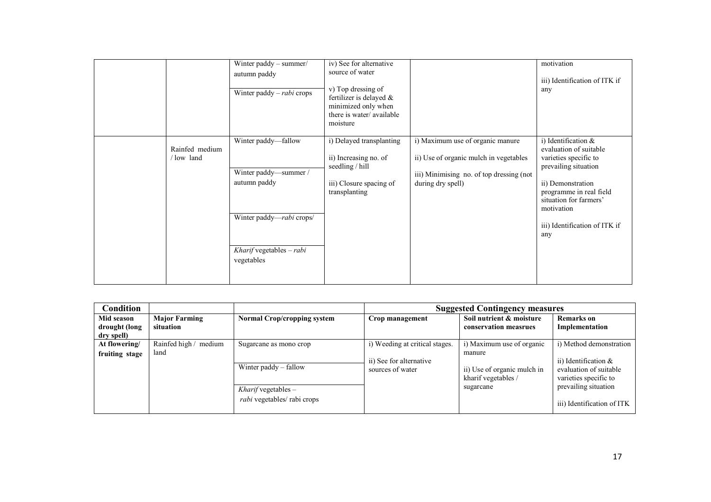|                             | Winter paddy - summer/<br>autumn paddy<br>Winter paddy – rabi crops                                                                   | iv) See for alternative<br>source of water<br>v) Top dressing of<br>fertilizer is delayed &<br>minimized only when<br>there is water/available<br>moisture |                                                                                                                                             | motivation<br>iii) Identification of ITK if<br>any                                                                                                                                                                             |
|-----------------------------|---------------------------------------------------------------------------------------------------------------------------------------|------------------------------------------------------------------------------------------------------------------------------------------------------------|---------------------------------------------------------------------------------------------------------------------------------------------|--------------------------------------------------------------------------------------------------------------------------------------------------------------------------------------------------------------------------------|
| Rainfed medium<br>/low land | Winter paddy—fallow<br>Winter paddy-summer /<br>autumn paddy<br>Winter paddy-rabi crops/<br>$Kharif$ vegetables $-rabi$<br>vegetables | i) Delayed transplanting<br>ii) Increasing no. of<br>seedling / hill<br>iii) Closure spacing of<br>transplanting                                           | i) Maximum use of organic manure<br>ii) Use of organic mulch in vegetables<br>iii) Minimising no. of top dressing (not<br>during dry spell) | i) Identification &<br>evaluation of suitable<br>varieties specific to<br>prevailing situation<br>ii) Demonstration<br>programme in real field<br>situation for farmers'<br>motivation<br>iii) Identification of ITK if<br>any |

| <b>Condition</b>                          |                                   |                                                             | <b>Suggested Contingency measures</b>                                         |                                                                                           |                                                                                                       |
|-------------------------------------------|-----------------------------------|-------------------------------------------------------------|-------------------------------------------------------------------------------|-------------------------------------------------------------------------------------------|-------------------------------------------------------------------------------------------------------|
| Mid season<br>drought (long<br>dry spell) | <b>Major Farming</b><br>situation | <b>Normal Crop/cropping system</b>                          | Crop management                                                               | Soil nutrient & moisture<br>conservation measrues                                         | <b>Remarks</b> on<br>Implementation                                                                   |
| At flowering/<br>fruiting stage           | Rainfed high /<br>medium<br>land  | Sugarcane as mono crop<br>Winter paddy – fallow             | i) Weeding at critical stages.<br>ii) See for alternative<br>sources of water | i) Maximum use of organic<br>manure<br>ii) Use of organic mulch in<br>kharif vegetables / | i) Method demonstration<br>ii) Identification $\&$<br>evaluation of suitable<br>varieties specific to |
|                                           |                                   | Kharif vegetables $-$<br><i>rabi</i> vegetables/ rabi crops |                                                                               | sugarcane                                                                                 | prevailing situation<br>iii) Identification of ITK                                                    |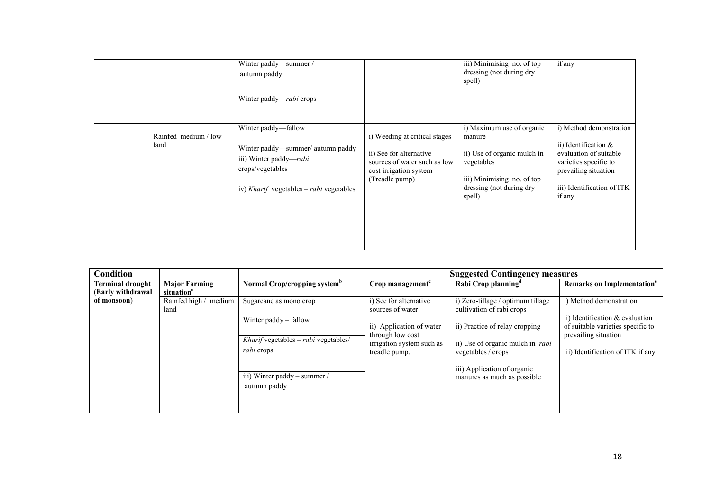|                              | Winter paddy – summer /<br>autumn paddy<br>Winter paddy $-$ rabi crops                                                                                   |                                                                                                                                      | iii) Minimising no. of top<br>dressing (not during dry<br>spell)                                                                                     | if any                                                                                                                                                                |
|------------------------------|----------------------------------------------------------------------------------------------------------------------------------------------------------|--------------------------------------------------------------------------------------------------------------------------------------|------------------------------------------------------------------------------------------------------------------------------------------------------|-----------------------------------------------------------------------------------------------------------------------------------------------------------------------|
| Rainfed medium / low<br>land | Winter paddy-fallow<br>Winter paddy-summer/autumn paddy<br>iii) Winter paddy— <i>rabi</i><br>crops/vegetables<br>iv) Kharif vegetables – rabi vegetables | i) Weeding at critical stages<br>ii) See for alternative<br>sources of water such as low<br>cost irrigation system<br>(Treadle pump) | i) Maximum use of organic<br>manure<br>ii) Use of organic mulch in<br>vegetables<br>iii) Minimising no. of top<br>dressing (not during dry<br>spell) | i) Method demonstration<br>ii) Identification $\&$<br>evaluation of suitable<br>varieties specific to<br>prevailing situation<br>iii) Identification of ITK<br>if any |

| Condition               |                               |                                                           |                                              | <b>Suggested Contingency measures</b>                          |                                                                                              |
|-------------------------|-------------------------------|-----------------------------------------------------------|----------------------------------------------|----------------------------------------------------------------|----------------------------------------------------------------------------------------------|
| <b>Terminal drought</b> | <b>Major Farming</b>          | Normal Crop/cropping system <sup>b</sup>                  | Crop management <sup>c</sup>                 | Rabi Crop planning <sup>d</sup>                                | Remarks on Implementation <sup>e</sup>                                                       |
| (Early withdrawal       | situation <sup>a</sup>        |                                                           |                                              |                                                                |                                                                                              |
| of monsoon)             | Rainfed high / medium<br>land | Sugarcane as mono crop                                    | i) See for alternative<br>sources of water   | i) Zero-tillage / optimum tillage<br>cultivation of rabi crops | i) Method demonstration                                                                      |
|                         |                               | Winter paddy – fallow                                     | ii) Application of water<br>through low cost | ii) Practice of relay cropping                                 | ii) Identification & evaluation<br>of suitable varieties specific to<br>prevailing situation |
|                         |                               | Kharif vegetables - rabi vegetables/<br><i>rabi</i> crops | irrigation system such as<br>treadle pump.   | ii) Use of organic mulch in <i>rabi</i><br>vegetables / crops  | iii) Identification of ITK if any                                                            |
|                         |                               | iii) Winter paddy – summer /<br>autumn paddy              |                                              | iii) Application of organic<br>manures as much as possible     |                                                                                              |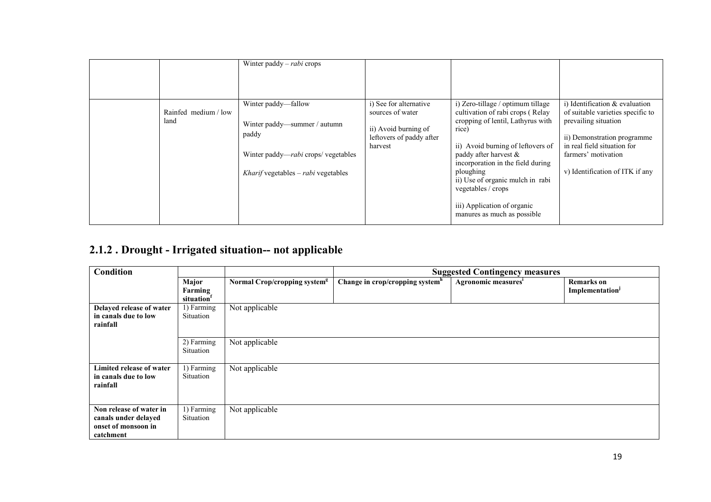|                              | Winter paddy – <i>rabi</i> crops                                                                                                                                 |                                                                                                           |                                                                                                                                                                                                                                                                                                                                                             |                                                                                                                                                                                                                        |
|------------------------------|------------------------------------------------------------------------------------------------------------------------------------------------------------------|-----------------------------------------------------------------------------------------------------------|-------------------------------------------------------------------------------------------------------------------------------------------------------------------------------------------------------------------------------------------------------------------------------------------------------------------------------------------------------------|------------------------------------------------------------------------------------------------------------------------------------------------------------------------------------------------------------------------|
| Rainfed medium / low<br>land | Winter paddy—fallow<br>Winter paddy-summer / autumn<br>paddy<br>Winter paddy— <i>rabi</i> crops/ vegetables<br><i>Kharif</i> vegetables – <i>rabi</i> vegetables | i) See for alternative<br>sources of water<br>ii) Avoid burning of<br>leftovers of paddy after<br>harvest | i) Zero-tillage / optimum tillage<br>cultivation of rabi crops (Relay<br>cropping of lentil, Lathyrus with<br>rice)<br>ii) Avoid burning of leftovers of<br>paddy after harvest &<br>incorporation in the field during<br>ploughing<br>ii) Use of organic mulch in rabi<br>vegetables / crops<br>iii) Application of organic<br>manures as much as possible | i) Identification $\&$ evaluation<br>of suitable varieties specific to<br>prevailing situation<br>ii) Demonstration programme<br>in real field situation for<br>farmers' motivation<br>v) Identification of ITK if any |

#### 2.1.2 . Drought - Irrigated situation-- not applicable

| Condition                                                                           |                                |                                          | <b>Suggested Contingency measures</b>       |                                 |                                                  |
|-------------------------------------------------------------------------------------|--------------------------------|------------------------------------------|---------------------------------------------|---------------------------------|--------------------------------------------------|
|                                                                                     | Major<br>Farming<br>situation  | Normal Crop/cropping system <sup>g</sup> | Change in crop/cropping system <sup>h</sup> | Agronomic measures <sup>i</sup> | <b>Remarks</b> on<br>Implementation <sup>1</sup> |
| Delayed release of water<br>in canals due to low<br>rainfall                        | 1) Farming<br>Situation        | Not applicable                           |                                             |                                 |                                                  |
|                                                                                     | 2) Farming<br><b>Situation</b> | Not applicable                           |                                             |                                 |                                                  |
| <b>Limited release of water</b><br>in canals due to low<br>rainfall                 | 1) Farming<br>Situation        | Not applicable                           |                                             |                                 |                                                  |
| Non release of water in<br>canals under delayed<br>onset of monsoon in<br>catchment | 1) Farming<br>Situation        | Not applicable                           |                                             |                                 |                                                  |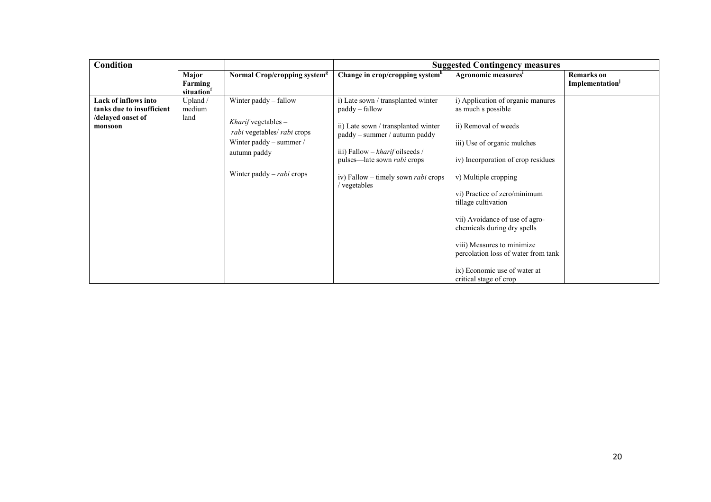| Condition                                                                         |                               |                                                                                                                                                              | <b>Suggested Contingency measures</b>                                                                                                                                                                                                                             |                                                                                                                                                                                                                                                                                                                                                                                                                                     |                                           |
|-----------------------------------------------------------------------------------|-------------------------------|--------------------------------------------------------------------------------------------------------------------------------------------------------------|-------------------------------------------------------------------------------------------------------------------------------------------------------------------------------------------------------------------------------------------------------------------|-------------------------------------------------------------------------------------------------------------------------------------------------------------------------------------------------------------------------------------------------------------------------------------------------------------------------------------------------------------------------------------------------------------------------------------|-------------------------------------------|
|                                                                                   | Major<br>Farming<br>situation | Normal Crop/cropping system <sup>g</sup>                                                                                                                     | Change in crop/cropping system <sup>h</sup>                                                                                                                                                                                                                       | Agronomic measures'                                                                                                                                                                                                                                                                                                                                                                                                                 | Remarks on<br>Implementation <sup>J</sup> |
| Lack of inflows into<br>tanks due to insufficient<br>/delayed onset of<br>monsoon | Upland $/$<br>medium<br>land  | Winter paddy - fallow<br>Kharif vegetables $-$<br>rabi vegetables/ rabi crops<br>Winter paddy – summer /<br>autumn paddy<br>Winter paddy – <i>rabi</i> crops | i) Late sown / transplanted winter<br>paddy – fallow<br>ii) Late sown / transplanted winter<br>paddy – summer / autumn paddy<br>iii) Fallow – kharif oilseeds /<br>pulses—late sown <i>rabi</i> crops<br>iv) Fallow – timely sown <i>rabi</i> crops<br>vegetables | i) Application of organic manures<br>as much s possible<br>ii) Removal of weeds<br>iii) Use of organic mulches<br>iv) Incorporation of crop residues<br>v) Multiple cropping<br>vi) Practice of zero/minimum<br>tillage cultivation<br>vii) Avoidance of use of agro-<br>chemicals during dry spells<br>viii) Measures to minimize<br>percolation loss of water from tank<br>ix) Economic use of water at<br>critical stage of crop |                                           |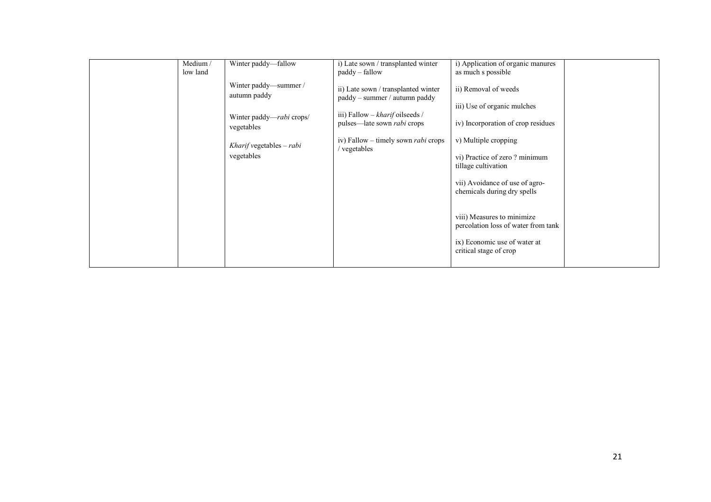| Winter paddy-fallow<br>Medium/<br>low land<br>paddy – fallow                                                                                       | i) Late sown / transplanted winter<br>i) Application of organic manures<br>as much s possible                                                                                                                                                                                                                                                                                                                                                                                                                                                                            |
|----------------------------------------------------------------------------------------------------------------------------------------------------|--------------------------------------------------------------------------------------------------------------------------------------------------------------------------------------------------------------------------------------------------------------------------------------------------------------------------------------------------------------------------------------------------------------------------------------------------------------------------------------------------------------------------------------------------------------------------|
| Winter paddy—summer /<br>autumn paddy<br>Winter paddy— <i>rabi</i> crops/<br>vegetables<br>Kharif vegetables $-rabi$<br>/ vegetables<br>vegetables | ii) Removal of weeds<br>ii) Late sown / transplanted winter<br>paddy - summer / autumn paddy<br>iii) Use of organic mulches<br>iii) Fallow – kharif oilseeds /<br>pulses—late sown <i>rabi</i> crops<br>iv) Incorporation of crop residues<br>v) Multiple cropping<br>iv) Fallow – timely sown <i>rabi</i> crops<br>vi) Practice of zero? minimum<br>tillage cultivation<br>vii) Avoidance of use of agro-<br>chemicals during dry spells<br>viii) Measures to minimize<br>percolation loss of water from tank<br>ix) Economic use of water at<br>critical stage of crop |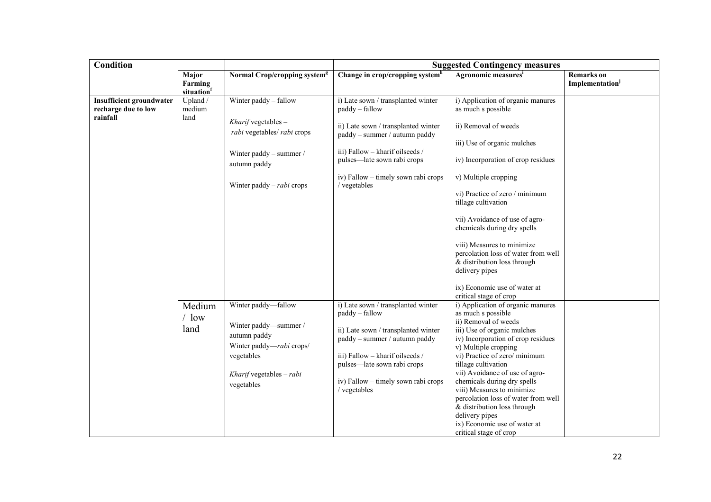| <b>Condition</b>                                       |                                |                                                    | <b>Suggested Contingency measures</b>                                |                                                                   |                                                  |
|--------------------------------------------------------|--------------------------------|----------------------------------------------------|----------------------------------------------------------------------|-------------------------------------------------------------------|--------------------------------------------------|
|                                                        | Major<br>Farming<br>situationf | Normal Crop/cropping system <sup>g</sup>           | Change in crop/cropping system <sup>h</sup>                          | Agronomic measuresi                                               | <b>Remarks</b> on<br>Implementation <sup>j</sup> |
| <b>Insufficient groundwater</b><br>recharge due to low | Upland /<br>medium<br>land     | Winter paddy - fallow                              | i) Late sown / transplanted winter<br>paddy - fallow                 | i) Application of organic manures<br>as much s possible           |                                                  |
| rainfall                                               |                                | Kharif vegetables -<br>rabi vegetables/ rabi crops | ii) Late sown / transplanted winter<br>paddy - summer / autumn paddy | ii) Removal of weeds                                              |                                                  |
|                                                        |                                |                                                    |                                                                      | iii) Use of organic mulches                                       |                                                  |
|                                                        |                                | Winter paddy - summer /<br>autumn paddy            | iii) Fallow - kharif oilseeds /<br>pulses-late sown rabi crops       | iv) Incorporation of crop residues                                |                                                  |
|                                                        |                                | Winter paddy $-$ rabi crops                        | iv) Fallow - timely sown rabi crops<br>/ vegetables                  | v) Multiple cropping                                              |                                                  |
|                                                        |                                |                                                    |                                                                      | vi) Practice of zero / minimum<br>tillage cultivation             |                                                  |
|                                                        |                                |                                                    |                                                                      | vii) Avoidance of use of agro-<br>chemicals during dry spells     |                                                  |
|                                                        |                                |                                                    |                                                                      | viii) Measures to minimize<br>percolation loss of water from well |                                                  |
|                                                        |                                |                                                    |                                                                      | & distribution loss through<br>delivery pipes                     |                                                  |
|                                                        |                                |                                                    |                                                                      | ix) Economic use of water at<br>critical stage of crop            |                                                  |
|                                                        | Medium                         | Winter paddy-fallow                                | i) Late sown / transplanted winter                                   | i) Application of organic manures                                 |                                                  |
|                                                        | $/$ low                        |                                                    | paddy - fallow                                                       | as much s possible<br>ii) Removal of weeds                        |                                                  |
|                                                        | land                           | Winter paddy-summer /<br>autumn paddy              | ii) Late sown / transplanted winter                                  | iii) Use of organic mulches                                       |                                                  |
|                                                        |                                | Winter paddy-rabi crops/                           | paddy – summer / autumn paddy                                        | iv) Incorporation of crop residues                                |                                                  |
|                                                        |                                | vegetables                                         | iii) Fallow - kharif oilseeds /                                      | v) Multiple cropping<br>vi) Practice of zero/minimum              |                                                  |
|                                                        |                                |                                                    | pulses—late sown rabi crops                                          | tillage cultivation                                               |                                                  |
|                                                        |                                | Kharif vegetables $-$ rabi                         |                                                                      | vii) Avoidance of use of agro-                                    |                                                  |
|                                                        |                                | vegetables                                         | iv) Fallow - timely sown rabi crops<br>/ vegetables                  | chemicals during dry spells<br>viii) Measures to minimize         |                                                  |
|                                                        |                                |                                                    |                                                                      | percolation loss of water from well                               |                                                  |
|                                                        |                                |                                                    |                                                                      | & distribution loss through                                       |                                                  |
|                                                        |                                |                                                    |                                                                      | delivery pipes                                                    |                                                  |
|                                                        |                                |                                                    |                                                                      | ix) Economic use of water at<br>critical stage of crop            |                                                  |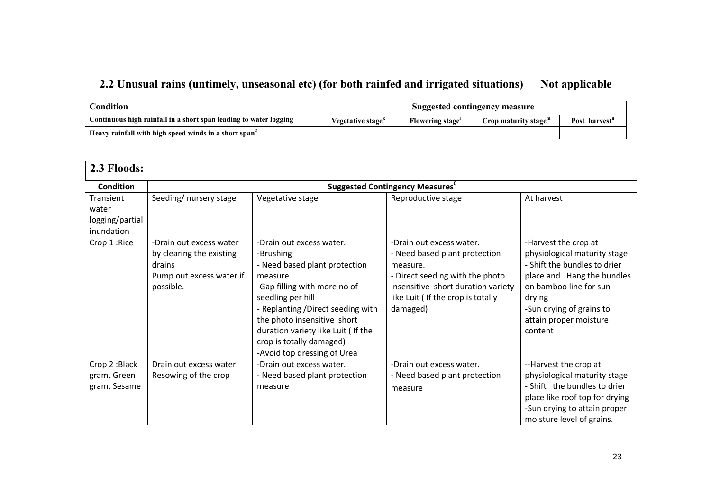#### 2.2 Unusual rains (untimely, unseasonal etc) (for both rainfed and irrigated situations) Not applicable

| Condition                                                         | Suggested contingency measure |                        |                         |                           |
|-------------------------------------------------------------------|-------------------------------|------------------------|-------------------------|---------------------------|
| Continuous high rainfall in a short span leading to water logging | Vegetative stage <sup>k</sup> | <b>Flowering stage</b> | Crop maturity stage $m$ | Post harvest <sup>n</sup> |
| Heavy rainfall with high speed winds in a short span <sup>2</sup> |                               |                        |                         |                           |

| 2.3 Floods:                                         |                                                                                                        |                                                                                                                                                                                                                                                                                                              |                                                                                                                                                                                                  |                                                                                                                                                                                                                         |
|-----------------------------------------------------|--------------------------------------------------------------------------------------------------------|--------------------------------------------------------------------------------------------------------------------------------------------------------------------------------------------------------------------------------------------------------------------------------------------------------------|--------------------------------------------------------------------------------------------------------------------------------------------------------------------------------------------------|-------------------------------------------------------------------------------------------------------------------------------------------------------------------------------------------------------------------------|
| <b>Condition</b>                                    |                                                                                                        |                                                                                                                                                                                                                                                                                                              | <b>Suggested Contingency Measures</b> <sup>0</sup>                                                                                                                                               |                                                                                                                                                                                                                         |
| Transient<br>water<br>logging/partial<br>inundation | Seeding/ nursery stage                                                                                 | Vegetative stage                                                                                                                                                                                                                                                                                             | Reproductive stage                                                                                                                                                                               | At harvest                                                                                                                                                                                                              |
| Crop 1: Rice                                        | -Drain out excess water<br>by clearing the existing<br>drains<br>Pump out excess water if<br>possible. | -Drain out excess water.<br>-Brushing<br>- Need based plant protection<br>measure.<br>-Gap filling with more no of<br>seedling per hill<br>- Replanting /Direct seeding with<br>the photo insensitive short<br>duration variety like Luit (If the<br>crop is totally damaged)<br>-Avoid top dressing of Urea | -Drain out excess water.<br>- Need based plant protection<br>measure.<br>- Direct seeding with the photo<br>insensitive short duration variety<br>like Luit ( If the crop is totally<br>damaged) | -Harvest the crop at<br>physiological maturity stage<br>- Shift the bundles to drier<br>place and Hang the bundles<br>on bamboo line for sun<br>drying<br>-Sun drying of grains to<br>attain proper moisture<br>content |
| Crop 2: Black<br>gram, Green<br>gram, Sesame        | Drain out excess water.<br>Resowing of the crop                                                        | -Drain out excess water.<br>- Need based plant protection<br>measure                                                                                                                                                                                                                                         | -Drain out excess water.<br>- Need based plant protection<br>measure                                                                                                                             | --Harvest the crop at<br>physiological maturity stage<br>- Shift the bundles to drier<br>place like roof top for drying<br>-Sun drying to attain proper<br>moisture level of grains.                                    |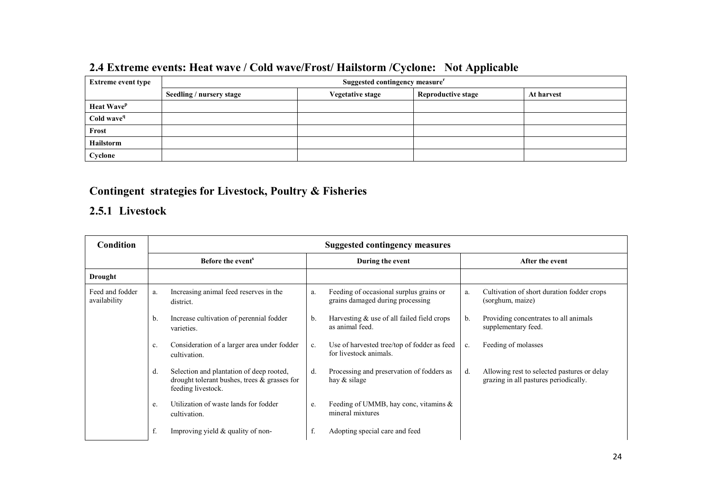|                           | - -                      |                                            |  |  |  |  |  |
|---------------------------|--------------------------|--------------------------------------------|--|--|--|--|--|
| <b>Extreme event type</b> |                          | Suggested contingency measure <sup>r</sup> |  |  |  |  |  |
|                           | Seedling / nursery stage | At harvest                                 |  |  |  |  |  |
| Heat Wave <sup>p</sup>    |                          |                                            |  |  |  |  |  |
| Cold wave <sup>q</sup>    |                          |                                            |  |  |  |  |  |
| Frost                     |                          |                                            |  |  |  |  |  |
| Hailstorm                 |                          |                                            |  |  |  |  |  |
| Cyclone                   |                          |                                            |  |  |  |  |  |

# 2.4 Extreme events: Heat wave / Cold wave/Frost/ Hailstorm /Cyclone: Not Applicable

#### Contingent strategies for Livestock, Poultry & Fisheries

#### 2.5.1 Livestock

| <b>Condition</b>                | <b>Suggested contingency measures</b> |                                                                                                                   |                  |                                                                             |                 |                                                                                      |  |
|---------------------------------|---------------------------------------|-------------------------------------------------------------------------------------------------------------------|------------------|-----------------------------------------------------------------------------|-----------------|--------------------------------------------------------------------------------------|--|
|                                 |                                       | Before the event <sup>s</sup>                                                                                     | During the event |                                                                             | After the event |                                                                                      |  |
| Drought                         |                                       |                                                                                                                   |                  |                                                                             |                 |                                                                                      |  |
| Feed and fodder<br>availability | a.                                    | Increasing animal feed reserves in the<br>district.                                                               | a.               | Feeding of occasional surplus grains or<br>grains damaged during processing | a.              | Cultivation of short duration fodder crops<br>(sorghum, maize)                       |  |
|                                 | b.                                    | Increase cultivation of perennial fodder<br>varieties.                                                            | $\mathbf{b}$ .   | Harvesting $&$ use of all failed field crops<br>as animal feed.             | $b_{\cdot}$     | Providing concentrates to all animals<br>supplementary feed.                         |  |
|                                 | c.                                    | Consideration of a larger area under fodder<br>cultivation.                                                       | c.               | Use of harvested tree/top of fodder as feed<br>for livestock animals.       | c.              | Feeding of molasses                                                                  |  |
|                                 | d.                                    | Selection and plantation of deep rooted,<br>drought tolerant bushes, trees $\&$ grasses for<br>feeding livestock. | d.               | Processing and preservation of fodders as<br>hay $&$ silage                 | d.              | Allowing rest to selected pastures or delay<br>grazing in all pastures periodically. |  |
|                                 | e.                                    | Utilization of waste lands for fodder<br>cultivation.                                                             | e.               | Feeding of UMMB, hay conc, vitamins $\&$<br>mineral mixtures                |                 |                                                                                      |  |
|                                 | f.                                    | Improving yield $&$ quality of non-                                                                               | f.               | Adopting special care and feed                                              |                 |                                                                                      |  |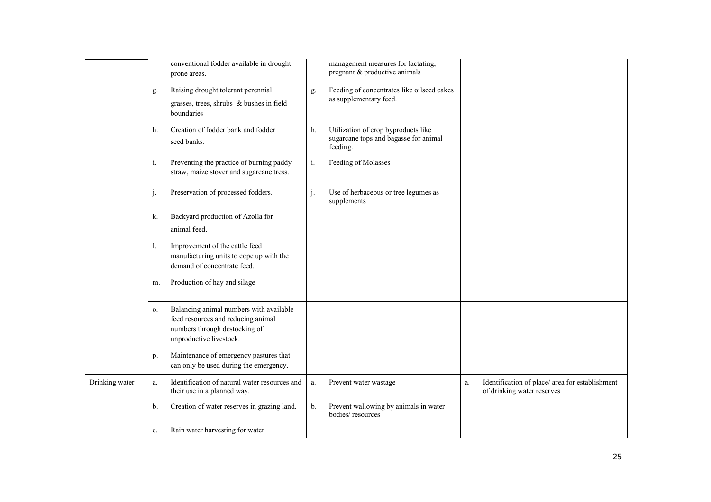|                |    | conventional fodder available in drought<br>prone areas.                                                                                  |    | management measures for lactating,<br>pregnant & productive animals                      |    |                                                                               |
|----------------|----|-------------------------------------------------------------------------------------------------------------------------------------------|----|------------------------------------------------------------------------------------------|----|-------------------------------------------------------------------------------|
|                | g. | Raising drought tolerant perennial                                                                                                        | g. | Feeding of concentrates like oilseed cakes                                               |    |                                                                               |
|                |    | grasses, trees, shrubs & bushes in field<br>boundaries                                                                                    |    | as supplementary feed.                                                                   |    |                                                                               |
|                | h. | Creation of fodder bank and fodder<br>seed banks.                                                                                         | h. | Utilization of crop byproducts like<br>sugarcane tops and bagasse for animal<br>feeding. |    |                                                                               |
|                | i. | Preventing the practice of burning paddy<br>straw, maize stover and sugarcane tress.                                                      | i. | Feeding of Molasses                                                                      |    |                                                                               |
|                | j. | Preservation of processed fodders.                                                                                                        | j. | Use of herbaceous or tree legumes as<br>supplements                                      |    |                                                                               |
|                | k. | Backyard production of Azolla for<br>animal feed.                                                                                         |    |                                                                                          |    |                                                                               |
|                | 1. | Improvement of the cattle feed<br>manufacturing units to cope up with the<br>demand of concentrate feed.                                  |    |                                                                                          |    |                                                                               |
|                | m. | Production of hay and silage                                                                                                              |    |                                                                                          |    |                                                                               |
|                | 0. | Balancing animal numbers with available<br>feed resources and reducing animal<br>numbers through destocking of<br>unproductive livestock. |    |                                                                                          |    |                                                                               |
|                | p. | Maintenance of emergency pastures that<br>can only be used during the emergency.                                                          |    |                                                                                          |    |                                                                               |
| Drinking water | a. | Identification of natural water resources and<br>their use in a planned way.                                                              | a. | Prevent water wastage                                                                    | a. | Identification of place/ area for establishment<br>of drinking water reserves |
|                | b. | Creation of water reserves in grazing land.                                                                                               | b. | Prevent wallowing by animals in water<br>bodies/resources                                |    |                                                                               |
|                | c. | Rain water harvesting for water                                                                                                           |    |                                                                                          |    |                                                                               |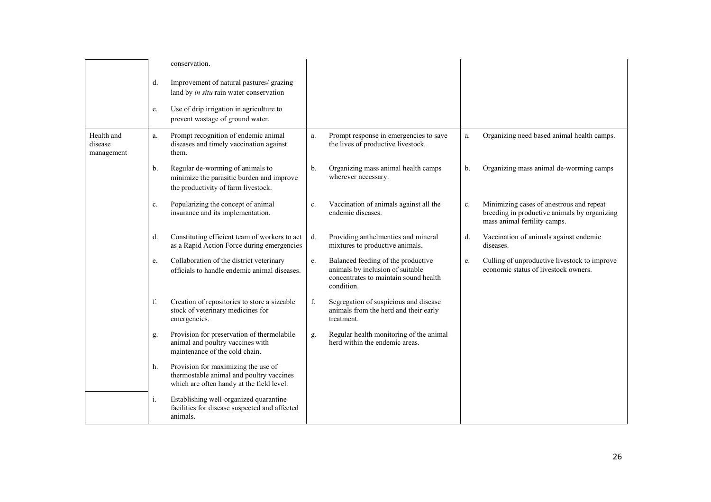|                                     |    | conservation.                                                                                                                |               |                                                                                                                               |    |                                                                                                                          |
|-------------------------------------|----|------------------------------------------------------------------------------------------------------------------------------|---------------|-------------------------------------------------------------------------------------------------------------------------------|----|--------------------------------------------------------------------------------------------------------------------------|
|                                     | d. | Improvement of natural pastures/ grazing<br>land by in situ rain water conservation                                          |               |                                                                                                                               |    |                                                                                                                          |
|                                     | e. | Use of drip irrigation in agriculture to<br>prevent wastage of ground water.                                                 |               |                                                                                                                               |    |                                                                                                                          |
| Health and<br>disease<br>management | a. | Prompt recognition of endemic animal<br>diseases and timely vaccination against<br>them.                                     | a.            | Prompt response in emergencies to save<br>the lives of productive livestock.                                                  | a. | Organizing need based animal health camps.                                                                               |
|                                     | b. | Regular de-worming of animals to<br>minimize the parasitic burden and improve<br>the productivity of farm livestock.         | $\mathbf b$ . | Organizing mass animal health camps<br>wherever necessary.                                                                    | b. | Organizing mass animal de-worming camps                                                                                  |
|                                     | c. | Popularizing the concept of animal<br>insurance and its implementation.                                                      | c.            | Vaccination of animals against all the<br>endemic diseases.                                                                   | c. | Minimizing cases of anestrous and repeat<br>breeding in productive animals by organizing<br>mass animal fertility camps. |
|                                     | d. | Constituting efficient team of workers to act<br>as a Rapid Action Force during emergencies                                  | d.            | Providing anthelmentics and mineral<br>mixtures to productive animals.                                                        | d. | Vaccination of animals against endemic<br>diseases.                                                                      |
|                                     | e. | Collaboration of the district veterinary<br>officials to handle endemic animal diseases.                                     | e.            | Balanced feeding of the productive<br>animals by inclusion of suitable<br>concentrates to maintain sound health<br>condition. | e. | Culling of unproductive livestock to improve<br>economic status of livestock owners.                                     |
|                                     | f. | Creation of repositories to store a sizeable<br>stock of veterinary medicines for<br>emergencies.                            | f.            | Segregation of suspicious and disease<br>animals from the herd and their early<br>treatment.                                  |    |                                                                                                                          |
|                                     | g. | Provision for preservation of thermolabile<br>animal and poultry vaccines with<br>maintenance of the cold chain.             | g.            | Regular health monitoring of the animal<br>herd within the endemic areas.                                                     |    |                                                                                                                          |
|                                     | h. | Provision for maximizing the use of<br>thermostable animal and poultry vaccines<br>which are often handy at the field level. |               |                                                                                                                               |    |                                                                                                                          |
|                                     | i. | Establishing well-organized quarantine<br>facilities for disease suspected and affected<br>animals.                          |               |                                                                                                                               |    |                                                                                                                          |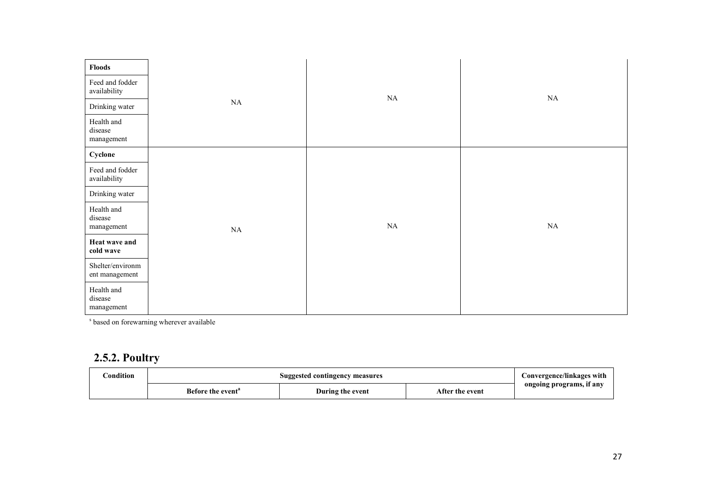| <b>Floods</b>                       |          |          |          |
|-------------------------------------|----------|----------|----------|
| Feed and fodder<br>availability     |          | $\rm NA$ | $\rm NA$ |
| Drinking water                      | NA       |          |          |
| Health and<br>disease<br>management |          |          |          |
| Cyclone                             |          |          |          |
| Feed and fodder<br>availability     |          |          |          |
| Drinking water                      |          |          |          |
| Health and<br>disease<br>management | $\rm NA$ | $\rm NA$ | $\rm NA$ |
| Heat wave and<br>cold wave          |          |          |          |
| Shelter/environm<br>ent management  |          |          |          |
| Health and<br>disease<br>management |          |          |          |

s based on forewarning wherever available

#### 2.5.2. Poultry

| ondition' | Suggested contingency measures | Convergence/linkages with |                 |                          |
|-----------|--------------------------------|---------------------------|-----------------|--------------------------|
|           | Before the event <sup>a</sup>  | During the event          | After the event | ongoing programs, if any |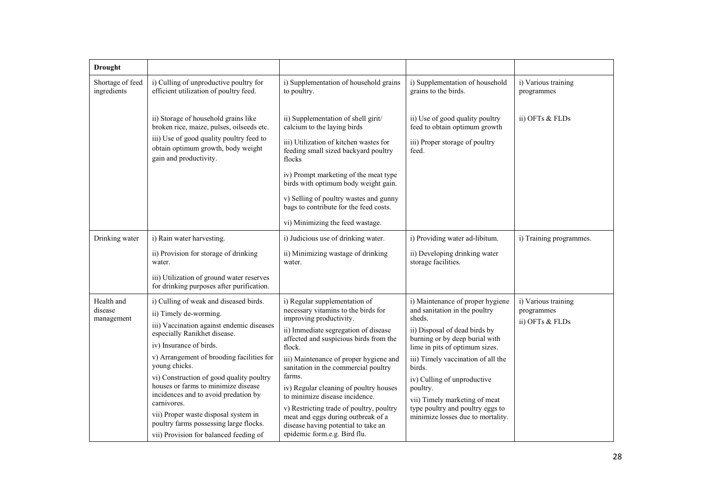| <b>Drought</b>                      |                                                                                                                                                                                                                                                                                                                                                                                                                                                                    |                                                                                                                                                                                                                                                                                                                                                                                                                                                                                              |                                                                                                                                                                                                                                                                                                                                                                                       |                                                      |
|-------------------------------------|--------------------------------------------------------------------------------------------------------------------------------------------------------------------------------------------------------------------------------------------------------------------------------------------------------------------------------------------------------------------------------------------------------------------------------------------------------------------|----------------------------------------------------------------------------------------------------------------------------------------------------------------------------------------------------------------------------------------------------------------------------------------------------------------------------------------------------------------------------------------------------------------------------------------------------------------------------------------------|---------------------------------------------------------------------------------------------------------------------------------------------------------------------------------------------------------------------------------------------------------------------------------------------------------------------------------------------------------------------------------------|------------------------------------------------------|
| Shortage of feed<br>ingredients     | i) Culling of unproductive poultry for<br>efficient utilization of poultry feed.                                                                                                                                                                                                                                                                                                                                                                                   | i) Supplementation of household grains<br>to poultry.                                                                                                                                                                                                                                                                                                                                                                                                                                        | i) Supplementation of household<br>grains to the birds.                                                                                                                                                                                                                                                                                                                               | i) Various training<br>programmes                    |
|                                     | ii) Storage of household grains like<br>broken rice, maize, pulses, oilseeds etc.                                                                                                                                                                                                                                                                                                                                                                                  | ii) Supplementation of shell girit/<br>calcium to the laying birds                                                                                                                                                                                                                                                                                                                                                                                                                           | ii) Use of good quality poultry<br>feed to obtain optimum growth                                                                                                                                                                                                                                                                                                                      | ii) OFTs & FLDs                                      |
|                                     | iii) Use of good quality poultry feed to<br>obtain optimum growth, body weight<br>gain and productivity.                                                                                                                                                                                                                                                                                                                                                           | iii) Utilization of kitchen wastes for<br>feeding small sized backyard poultry<br>flocks                                                                                                                                                                                                                                                                                                                                                                                                     | iii) Proper storage of poultry<br>feed.                                                                                                                                                                                                                                                                                                                                               |                                                      |
|                                     |                                                                                                                                                                                                                                                                                                                                                                                                                                                                    | iv) Prompt marketing of the meat type<br>birds with optimum body weight gain.                                                                                                                                                                                                                                                                                                                                                                                                                |                                                                                                                                                                                                                                                                                                                                                                                       |                                                      |
|                                     |                                                                                                                                                                                                                                                                                                                                                                                                                                                                    | v) Selling of poultry wastes and gunny<br>bags to contribute for the feed costs.                                                                                                                                                                                                                                                                                                                                                                                                             |                                                                                                                                                                                                                                                                                                                                                                                       |                                                      |
|                                     |                                                                                                                                                                                                                                                                                                                                                                                                                                                                    | vi) Minimizing the feed wastage.                                                                                                                                                                                                                                                                                                                                                                                                                                                             |                                                                                                                                                                                                                                                                                                                                                                                       |                                                      |
| Drinking water                      | i) Rain water harvesting.                                                                                                                                                                                                                                                                                                                                                                                                                                          | i) Judicious use of drinking water.                                                                                                                                                                                                                                                                                                                                                                                                                                                          | i) Providing water ad-libitum.                                                                                                                                                                                                                                                                                                                                                        | i) Training programmes.                              |
|                                     | ii) Provision for storage of drinking<br>water.                                                                                                                                                                                                                                                                                                                                                                                                                    | ii) Minimizing wastage of drinking<br>water.                                                                                                                                                                                                                                                                                                                                                                                                                                                 | ii) Developing drinking water<br>storage facilities.                                                                                                                                                                                                                                                                                                                                  |                                                      |
|                                     | iii) Utilization of ground water reserves<br>for drinking purposes after purification.                                                                                                                                                                                                                                                                                                                                                                             |                                                                                                                                                                                                                                                                                                                                                                                                                                                                                              |                                                                                                                                                                                                                                                                                                                                                                                       |                                                      |
| Health and<br>disease<br>management | i) Culling of weak and diseased birds.<br>ii) Timely de-worming.<br>iii) Vaccination against endemic diseases<br>especially Ranikhet disease.<br>iv) Insurance of birds.<br>v) Arrangement of brooding facilities for<br>young chicks.<br>vi) Construction of good quality poultry<br>houses or farms to minimize disease<br>incidences and to avoid predation by<br>carnivores.<br>vii) Proper waste disposal system in<br>poultry farms possessing large flocks. | i) Regular supplementation of<br>necessary vitamins to the birds for<br>improving productivity.<br>ii) Immediate segregation of disease<br>affected and suspicious birds from the<br>flock.<br>iii) Maintenance of proper hygiene and<br>sanitation in the commercial poultry<br>farms.<br>iv) Regular cleaning of poultry houses<br>to minimize disease incidence.<br>v) Restricting trade of poultry, poultry<br>meat and eggs during outbreak of a<br>disease having potential to take an | i) Maintenance of proper hygiene<br>and sanitation in the poultry<br>sheds.<br>ii) Disposal of dead birds by<br>burning or by deep burial with<br>lime in pits of optimum sizes.<br>iii) Timely vaccination of all the<br>birds.<br>iv) Culling of unproductive<br>poultry.<br>vii) Timely marketing of meat<br>type poultry and poultry eggs to<br>minimize losses due to mortality. | i) Various training<br>programmes<br>ii) OFTs & FLDs |
|                                     | vii) Provision for balanced feeding of                                                                                                                                                                                                                                                                                                                                                                                                                             | epidemic form.e.g. Bird flu.                                                                                                                                                                                                                                                                                                                                                                                                                                                                 |                                                                                                                                                                                                                                                                                                                                                                                       |                                                      |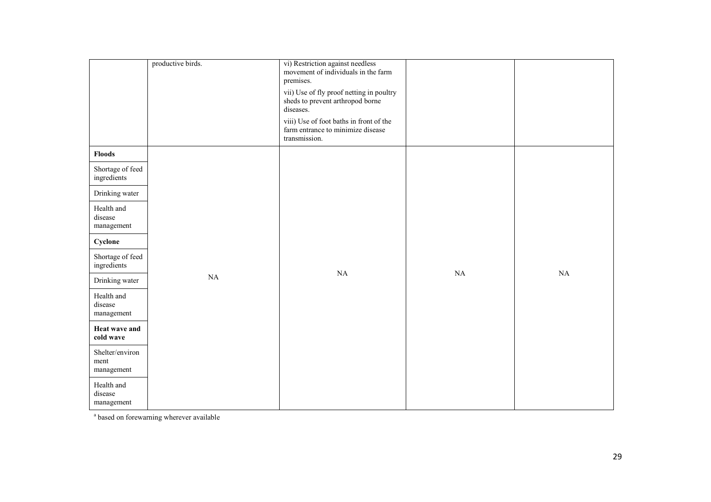|                                       | productive birds. | vi) Restriction against needless<br>movement of individuals in the farm<br>premises.<br>vii) Use of fly proof netting in poultry |    |    |
|---------------------------------------|-------------------|----------------------------------------------------------------------------------------------------------------------------------|----|----|
|                                       |                   | sheds to prevent arthropod borne<br>diseases.                                                                                    |    |    |
|                                       |                   | viii) Use of foot baths in front of the<br>farm entrance to minimize disease<br>transmission.                                    |    |    |
| Floods                                |                   |                                                                                                                                  |    |    |
| Shortage of feed<br>ingredients       |                   |                                                                                                                                  |    |    |
| Drinking water                        |                   |                                                                                                                                  |    |    |
| Health and<br>disease<br>management   |                   |                                                                                                                                  |    |    |
| Cyclone                               |                   |                                                                                                                                  |    |    |
| Shortage of feed<br>ingredients       |                   | NA                                                                                                                               | NA | NA |
| Drinking water                        | $\rm NA$          |                                                                                                                                  |    |    |
| Health and<br>disease<br>management   |                   |                                                                                                                                  |    |    |
| <b>Heat wave and</b><br>cold wave     |                   |                                                                                                                                  |    |    |
| Shelter/environ<br>ment<br>management |                   |                                                                                                                                  |    |    |
| Health and<br>disease<br>management   |                   |                                                                                                                                  |    |    |

<sup>a</sup> based on forewarning wherever available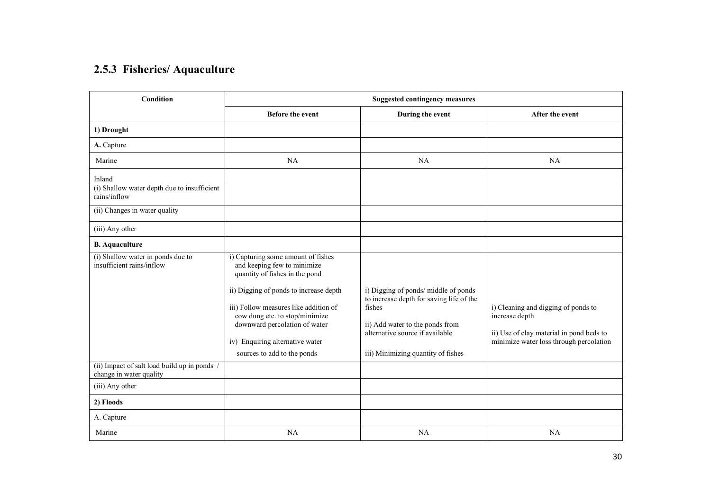#### 2.5.3 Fisheries/ Aquaculture

| Condition                                                               | <b>Suggested contingency measures</b>                                                                                                                                      |                                                                                                                                                                |                                                                                                                                              |  |  |  |
|-------------------------------------------------------------------------|----------------------------------------------------------------------------------------------------------------------------------------------------------------------------|----------------------------------------------------------------------------------------------------------------------------------------------------------------|----------------------------------------------------------------------------------------------------------------------------------------------|--|--|--|
|                                                                         | <b>Before the event</b>                                                                                                                                                    | During the event                                                                                                                                               | After the event                                                                                                                              |  |  |  |
| 1) Drought                                                              |                                                                                                                                                                            |                                                                                                                                                                |                                                                                                                                              |  |  |  |
| A. Capture                                                              |                                                                                                                                                                            |                                                                                                                                                                |                                                                                                                                              |  |  |  |
| Marine                                                                  | NA                                                                                                                                                                         | <b>NA</b>                                                                                                                                                      | NA                                                                                                                                           |  |  |  |
| Inland                                                                  |                                                                                                                                                                            |                                                                                                                                                                |                                                                                                                                              |  |  |  |
| (i) Shallow water depth due to insufficient<br>rains/inflow             |                                                                                                                                                                            |                                                                                                                                                                |                                                                                                                                              |  |  |  |
| (ii) Changes in water quality                                           |                                                                                                                                                                            |                                                                                                                                                                |                                                                                                                                              |  |  |  |
| (iii) Any other                                                         |                                                                                                                                                                            |                                                                                                                                                                |                                                                                                                                              |  |  |  |
| <b>B.</b> Aquaculture                                                   |                                                                                                                                                                            |                                                                                                                                                                |                                                                                                                                              |  |  |  |
| (i) Shallow water in ponds due to<br>insufficient rains/inflow          | i) Capturing some amount of fishes<br>and keeping few to minimize<br>quantity of fishes in the pond<br>ii) Digging of ponds to increase depth                              | i) Digging of ponds/ middle of ponds                                                                                                                           |                                                                                                                                              |  |  |  |
|                                                                         | iii) Follow measures like addition of<br>cow dung etc. to stop/minimize<br>downward percolation of water<br>iv) Enquiring alternative water<br>sources to add to the ponds | to increase depth for saving life of the<br>fishes<br>ii) Add water to the ponds from<br>alternative source if available<br>iii) Minimizing quantity of fishes | i) Cleaning and digging of ponds to<br>increase depth<br>ii) Use of clay material in pond beds to<br>minimize water loss through percolation |  |  |  |
| (ii) Impact of salt load build up in ponds /<br>change in water quality |                                                                                                                                                                            |                                                                                                                                                                |                                                                                                                                              |  |  |  |
| (iii) Any other                                                         |                                                                                                                                                                            |                                                                                                                                                                |                                                                                                                                              |  |  |  |
| 2) Floods                                                               |                                                                                                                                                                            |                                                                                                                                                                |                                                                                                                                              |  |  |  |
| A. Capture                                                              |                                                                                                                                                                            |                                                                                                                                                                |                                                                                                                                              |  |  |  |
| Marine                                                                  | <b>NA</b>                                                                                                                                                                  | NA                                                                                                                                                             | NA                                                                                                                                           |  |  |  |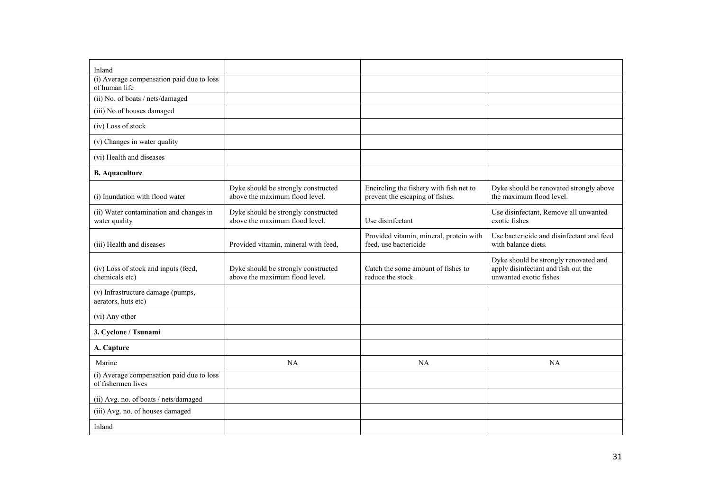| Inland                                                          |                                                                       |                                                                            |                                                                                                        |
|-----------------------------------------------------------------|-----------------------------------------------------------------------|----------------------------------------------------------------------------|--------------------------------------------------------------------------------------------------------|
| (i) Average compensation paid due to loss<br>of human life      |                                                                       |                                                                            |                                                                                                        |
| (ii) No. of boats / nets/damaged                                |                                                                       |                                                                            |                                                                                                        |
| (iii) No.of houses damaged                                      |                                                                       |                                                                            |                                                                                                        |
| (iv) Loss of stock                                              |                                                                       |                                                                            |                                                                                                        |
| (v) Changes in water quality                                    |                                                                       |                                                                            |                                                                                                        |
| (vi) Health and diseases                                        |                                                                       |                                                                            |                                                                                                        |
| <b>B.</b> Aquaculture                                           |                                                                       |                                                                            |                                                                                                        |
| (i) Inundation with flood water                                 | Dyke should be strongly constructed<br>above the maximum flood level. | Encircling the fishery with fish net to<br>prevent the escaping of fishes. | Dyke should be renovated strongly above<br>the maximum flood level.                                    |
| (ii) Water contamination and changes in<br>water quality        | Dyke should be strongly constructed<br>above the maximum flood level. | Use disinfectant                                                           | Use disinfectant, Remove all unwanted<br>exotic fishes                                                 |
| (iii) Health and diseases                                       | Provided vitamin, mineral with feed,                                  | Provided vitamin, mineral, protein with<br>feed, use bactericide           | Use bactericide and disinfectant and feed<br>with balance diets.                                       |
| (iv) Loss of stock and inputs (feed,<br>chemicals etc)          | Dyke should be strongly constructed<br>above the maximum flood level. | Catch the some amount of fishes to<br>reduce the stock.                    | Dyke should be strongly renovated and<br>apply disinfectant and fish out the<br>unwanted exotic fishes |
| (v) Infrastructure damage (pumps,<br>aerators, huts etc)        |                                                                       |                                                                            |                                                                                                        |
| (vi) Any other                                                  |                                                                       |                                                                            |                                                                                                        |
| 3. Cyclone / Tsunami                                            |                                                                       |                                                                            |                                                                                                        |
| A. Capture                                                      |                                                                       |                                                                            |                                                                                                        |
| Marine                                                          | NA                                                                    | NA                                                                         | NA                                                                                                     |
| (i) Average compensation paid due to loss<br>of fishermen lives |                                                                       |                                                                            |                                                                                                        |
| (ii) Avg. no. of boats / nets/damaged                           |                                                                       |                                                                            |                                                                                                        |
| (iii) Avg. no. of houses damaged                                |                                                                       |                                                                            |                                                                                                        |
| Inland                                                          |                                                                       |                                                                            |                                                                                                        |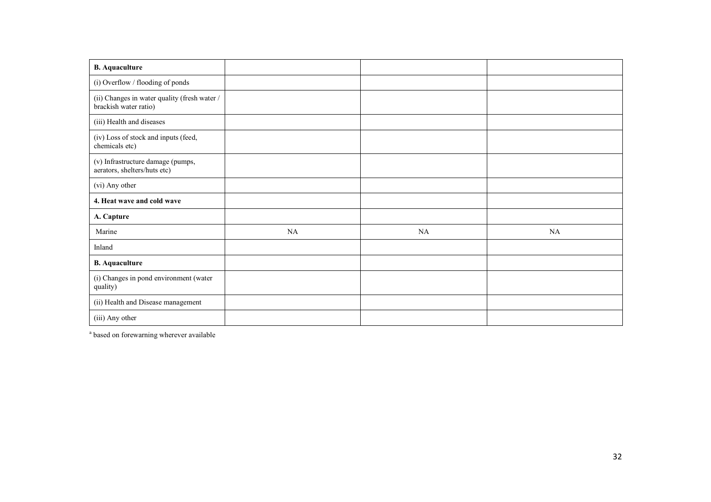| <b>B.</b> Aquaculture                                                 |    |    |           |
|-----------------------------------------------------------------------|----|----|-----------|
| (i) Overflow / flooding of ponds                                      |    |    |           |
| (ii) Changes in water quality (fresh water /<br>brackish water ratio) |    |    |           |
| (iii) Health and diseases                                             |    |    |           |
| (iv) Loss of stock and inputs (feed,<br>chemicals etc)                |    |    |           |
| (v) Infrastructure damage (pumps,<br>aerators, shelters/huts etc)     |    |    |           |
| (vi) Any other                                                        |    |    |           |
| 4. Heat wave and cold wave                                            |    |    |           |
| A. Capture                                                            |    |    |           |
| Marine                                                                | NA | NA | <b>NA</b> |
| Inland                                                                |    |    |           |
| <b>B.</b> Aquaculture                                                 |    |    |           |
| (i) Changes in pond environment (water<br>quality)                    |    |    |           |
| (ii) Health and Disease management                                    |    |    |           |
| (iii) Any other                                                       |    |    |           |

<sup>a</sup> based on forewarning wherever available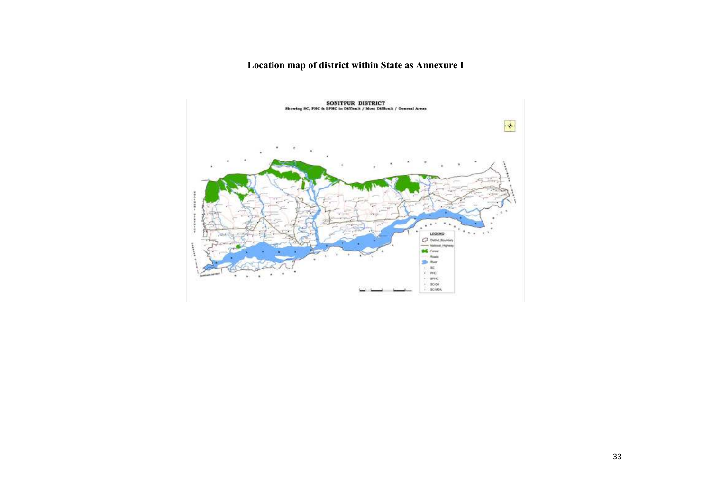## Location map of district within State as Annexure I